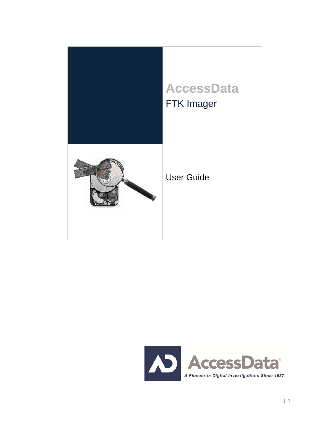

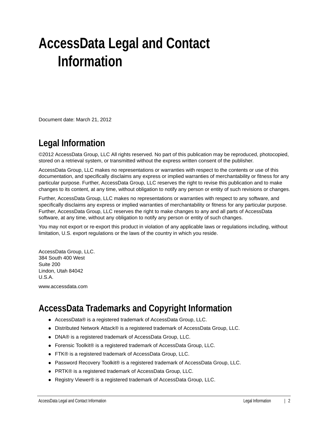# <span id="page-1-0"></span>**AccessData Legal and Contact Information**

Document date: March 21, 2012

# <span id="page-1-1"></span>**Legal Information**

©2012 AccessData Group, LLC All rights reserved. No part of this publication may be reproduced, photocopied, stored on a retrieval system, or transmitted without the express written consent of the publisher.

AccessData Group, LLC makes no representations or warranties with respect to the contents or use of this documentation, and specifically disclaims any express or implied warranties of merchantability or fitness for any particular purpose. Further, AccessData Group, LLC reserves the right to revise this publication and to make changes to its content, at any time, without obligation to notify any person or entity of such revisions or changes.

Further, AccessData Group, LLC makes no representations or warranties with respect to any software, and specifically disclaims any express or implied warranties of merchantability or fitness for any particular purpose. Further, AccessData Group, LLC reserves the right to make changes to any and all parts of AccessData software, at any time, without any obligation to notify any person or entity of such changes.

You may not export or re-export this product in violation of any applicable laws or regulations including, without limitation, U.S. export regulations or the laws of the country in which you reside.

AccessData Group, LLC. 384 South 400 West Suite 200 Lindon, Utah 84042 U.S.A.

www.accessdata.com

# <span id="page-1-2"></span>**AccessData Trademarks and Copyright Information**

- AccessData® is a registered trademark of AccessData Group, LLC.
- Distributed Network Attack® is a registered trademark of AccessData Group, LLC.
- DNA® is a registered trademark of AccessData Group, LLC.
- Forensic Toolkit® is a registered trademark of AccessData Group, LLC.
- FTK® is a registered trademark of AccessData Group, LLC.
- Password Recovery Toolkit® is a registered trademark of AccessData Group, LLC.
- PRTK® is a registered trademark of AccessData Group, LLC.
- Registry Viewer® is a registered trademark of AccessData Group, LLC.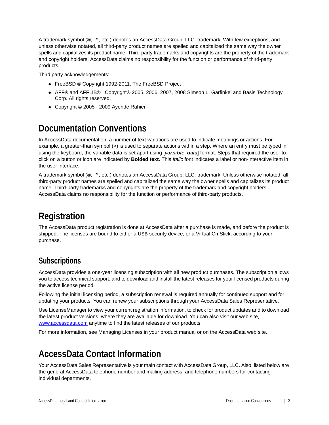A trademark symbol (®, ™, etc.) denotes an AccessData Group, LLC. trademark. With few exceptions, and unless otherwise notated, all third-party product names are spelled and capitalized the same way the owner spells and capitalizes its product name. Third-party trademarks and copyrights are the property of the trademark and copyright holders. AccessData claims no responsibility for the function or performance of third-party products.

Third party acknowledgements:

- FreeBSD ® Copyright 1992-2011. The FreeBSD Project .
- AFF® and AFFLIB® Copyright® 2005, 2006, 2007, 2008 Simson L. Garfinkel and Basis Technology Corp. All rights reserved.
- Copyright © 2005 2009 Ayende Rahien

# <span id="page-2-0"></span>**Documentation Conventions**

In AccessData documentation, a number of text variations are used to indicate meanings or actions. For example, a greater-than symbol (>) is used to separate actions within a step. Where an entry must be typed in using the keyboard, the variable data is set apart using [*variable\_data*] format. Steps that required the user to click on a button or icon are indicated by **Bolded text**. This *Italic* font indicates a label or non-interactive item in the user interface.

A trademark symbol (®, ™, etc.) denotes an AccessData Group, LLC. trademark. Unless otherwise notated, all third-party product names are spelled and capitalized the same way the owner spells and capitalizes its product name. Third-party trademarks and copyrights are the property of the trademark and copyright holders. AccessData claims no responsibility for the function or performance of third-party products.

# <span id="page-2-1"></span>**Registration**

The AccessData product registration is done at AccessData after a purchase is made, and before the product is shipped. The licenses are bound to either a USB security device, or a Virtual CmStick, according to your purchase.

### <span id="page-2-2"></span>**Subscriptions**

AccessData provides a one-year licensing subscription with all new product purchases. The subscription allows you to access technical support, and to download and install the latest releases for your licensed products during the active license period.

Following the initial licensing period, a subscription renewal is required annually for continued support and for updating your products. You can renew your subscriptions through your AccessData Sales Representative.

Use LicenseManager to view your current registration information, to check for product updates and to download the latest product versions, where they are available for download. You can also visit our web site, www.accessdata.com anytime to find the latest releases of our products.

For more information, see Managing Licenses in your product manual or on the AccessData web site.

# <span id="page-2-3"></span>**AccessData Contact Information**

Your AccessData Sales Representative is your main contact with AccessData Group, LLC. Also, listed below are the general AccessData telephone number and mailing address, and telephone numbers for contacting individual departments.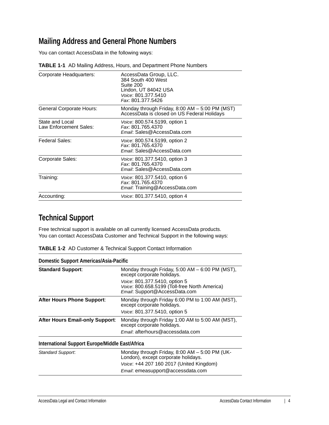### <span id="page-3-0"></span>**Mailing Address and General Phone Numbers**

You can contact AccessData in the following ways:

| Corporate Headquarters:                   | AccessData Group, LLC.<br>384 South 400 West<br>Suite 200<br>Lindon, UT 84042 USA<br>Voice: 801.377.5410<br>Fax: 801.377.5426 |
|-------------------------------------------|-------------------------------------------------------------------------------------------------------------------------------|
| General Corporate Hours:                  | Monday through Friday, $8:00$ AM $-5:00$ PM (MST)<br>AccessData is closed on US Federal Holidays                              |
| State and Local<br>Law Enforcement Sales: | <i>Voice:</i> 800.574.5199, option 1<br>Fax: 801.765.4370<br>Email: Sales@AccessData.com                                      |
| Federal Sales:                            | Voice: 800.574.5199, option 2<br>Fax: 801.765.4370<br>Email: Sales@AccessData.com                                             |
| Corporate Sales:                          | Voice: 801.377.5410, option 3<br>Fax: 801.765.4370<br>Email: Sales@AccessData.com                                             |
| Training:                                 | <i>Voice:</i> 801.377.5410, option 6<br>Fax: 801.765.4370<br>Email: Training@AccessData.com                                   |
| Accounting:                               | <i>Voice:</i> 801.377.5410, option 4                                                                                          |

#### **TABLE 1-1** AD Mailing Address, Hours, and Department Phone Numbers

### <span id="page-3-1"></span>**Technical Support**

Free technical support is available on all currently licensed AccessData products. You can contact AccessData Customer and Technical Support in the following ways:

| <b>TABLE 1-2</b> AD Customer & Technical Support Contact Information |
|----------------------------------------------------------------------|
|----------------------------------------------------------------------|

| Domestic Support Americas/Asia-Pacific          |                                                                                                                 |
|-------------------------------------------------|-----------------------------------------------------------------------------------------------------------------|
| <b>Standard Support:</b>                        | Monday through Friday, 5:00 AM $-$ 6:00 PM (MST),<br>except corporate holidays.                                 |
|                                                 | Voice: 801.377.5410, option 5<br>Voice: 800.658.5199 (Toll-free North America)<br>Email: Support@AccessData.com |
| <b>After Hours Phone Support:</b>               | Monday through Friday 6:00 PM to 1:00 AM (MST),<br>except corporate holidays.                                   |
|                                                 | Voice: 801.377.5410, option 5                                                                                   |
| <b>After Hours Email-only Support:</b>          | Monday through Friday 1:00 AM to 5:00 AM (MST),<br>except corporate holidays.                                   |
|                                                 | Email: afterhours@accessdata.com                                                                                |
| International Support Europe/Middle East/Africa |                                                                                                                 |
| Standard Support:                               | Monday through Friday, 8:00 AM - 5:00 PM (UK-<br>London), except corporate holidays.                            |
|                                                 | Voice: +44 207 160 2017 (United Kingdom)                                                                        |
|                                                 | Email: emeasupport@accessdata.com                                                                               |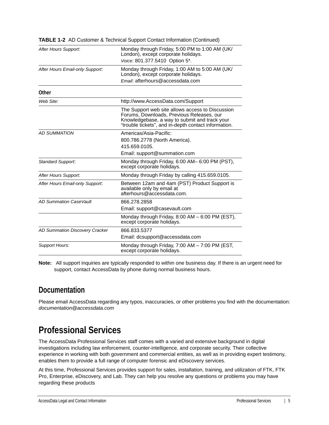| After Hours Support:            | Monday through Friday, 5:00 PM to 1:00 AM (UK/<br>London), except corporate holidays.<br>Voice: 801.377.5410 Option 5*.                                                                                |
|---------------------------------|--------------------------------------------------------------------------------------------------------------------------------------------------------------------------------------------------------|
| After Hours Email-only Support: | Monday through Friday, 1:00 AM to 5:00 AM (UK/<br>London), except corporate holidays.<br>Email: afterhours@accessdata.com                                                                              |
| Other                           |                                                                                                                                                                                                        |
| Web Site:                       | http://www.AccessData.com/Support                                                                                                                                                                      |
|                                 | The Support web site allows access to Discussion<br>Forums, Downloads, Previous Releases, our<br>Knowledgebase, a way to submit and track your<br>"trouble tickets", and in-depth contact information. |
| <b>AD SUMMATION</b>             | Americas/Asia-Pacific:                                                                                                                                                                                 |
|                                 | 800.786.2778 (North America).                                                                                                                                                                          |
|                                 | 415.659.0105.                                                                                                                                                                                          |
|                                 | Email: support@summation.com                                                                                                                                                                           |
| Standard Support.               | Monday through Friday, 6:00 AM-6:00 PM (PST),<br>except corporate holidays.                                                                                                                            |
| After Hours Support:            | Monday through Friday by calling 415.659.0105.                                                                                                                                                         |
| After Hours Email-only Support. | Between 12am and 4am (PST) Product Support is<br>available only by email at<br>afterhours@accessdata.com.                                                                                              |
| <b>AD Summation CaseVault</b>   | 866.278.2858                                                                                                                                                                                           |
|                                 | Email: support@casevault.com                                                                                                                                                                           |
|                                 | Monday through Friday, 8:00 AM - 6:00 PM (EST),<br>except corporate holidays.                                                                                                                          |
| AD Summation Discovery Cracker  | 866.833.5377                                                                                                                                                                                           |
|                                 | Email: dcsupport@accessdata.com                                                                                                                                                                        |
| <b>Support Hours:</b>           | Monday through Friday, 7:00 AM - 7:00 PM (EST,<br>except corporate holidays.                                                                                                                           |

**TABLE 1-2** AD Customer & Technical Support Contact Information (Continued)

**Note:** All support inquiries are typically responded to within one business day. If there is an urgent need for support, contact AccessData by phone during normal business hours.

### <span id="page-4-0"></span>**Documentation**

Please email AccessData regarding any typos, inaccuracies, or other problems you find with the documentation: *documentation@accessdata.com*

## <span id="page-4-1"></span>**Professional Services**

The AccessData Professional Services staff comes with a varied and extensive background in digital investigations including law enforcement, counter-intelligence, and corporate security. Their collective experience in working with both government and commercial entities, as well as in providing expert testimony, enables them to provide a full range of computer forensic and eDiscovery services.

At this time, Professional Services provides support for sales, installation, training, and utilization of FTK, FTK Pro, Enterprise, eDiscovery, and Lab. They can help you resolve any questions or problems you may have regarding these products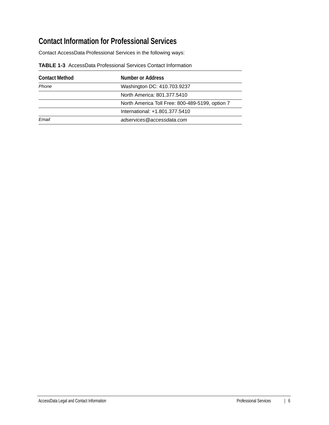## <span id="page-5-0"></span>**Contact Information for Professional Services**

Contact AccessData Professional Services in the following ways:

| <b>TABLE 1-3</b> AccessData Professional Services Contact Information |  |
|-----------------------------------------------------------------------|--|
|-----------------------------------------------------------------------|--|

| <b>Contact Method</b> | Number or Address                               |
|-----------------------|-------------------------------------------------|
| Phone                 | Washington DC: 410.703.9237                     |
|                       | North America: 801.377.5410                     |
|                       | North America Toll Free: 800-489-5199, option 7 |
|                       | International: +1.801.377.5410                  |
| Fmail                 | adservices@accessdata.com                       |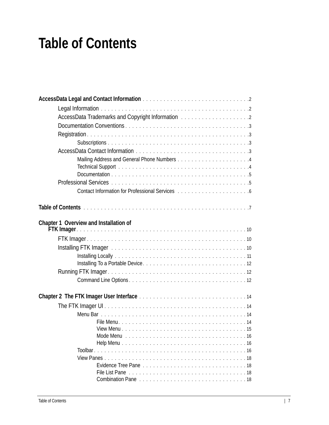# <span id="page-6-0"></span>**Table of Contents**

| AccessData Trademarks and Copyright Information [11] AccessData Trademarks and Copyright Information [11] AccessData Trademarks and Copyright Information [11] Access                                                          |
|--------------------------------------------------------------------------------------------------------------------------------------------------------------------------------------------------------------------------------|
|                                                                                                                                                                                                                                |
|                                                                                                                                                                                                                                |
|                                                                                                                                                                                                                                |
|                                                                                                                                                                                                                                |
|                                                                                                                                                                                                                                |
|                                                                                                                                                                                                                                |
|                                                                                                                                                                                                                                |
|                                                                                                                                                                                                                                |
|                                                                                                                                                                                                                                |
|                                                                                                                                                                                                                                |
|                                                                                                                                                                                                                                |
|                                                                                                                                                                                                                                |
| Chapter 1 Overview and Installation of                                                                                                                                                                                         |
|                                                                                                                                                                                                                                |
|                                                                                                                                                                                                                                |
|                                                                                                                                                                                                                                |
| Installing FTK Imager (Fig. 1991) and the contract of the contract of the contract of the contract of the contract of the contract of the contract of the contract of the contract of the contract of the contract of the cont |
|                                                                                                                                                                                                                                |
|                                                                                                                                                                                                                                |
|                                                                                                                                                                                                                                |
|                                                                                                                                                                                                                                |
|                                                                                                                                                                                                                                |
|                                                                                                                                                                                                                                |
|                                                                                                                                                                                                                                |
|                                                                                                                                                                                                                                |
|                                                                                                                                                                                                                                |
|                                                                                                                                                                                                                                |
|                                                                                                                                                                                                                                |
|                                                                                                                                                                                                                                |
|                                                                                                                                                                                                                                |
|                                                                                                                                                                                                                                |
|                                                                                                                                                                                                                                |
|                                                                                                                                                                                                                                |
|                                                                                                                                                                                                                                |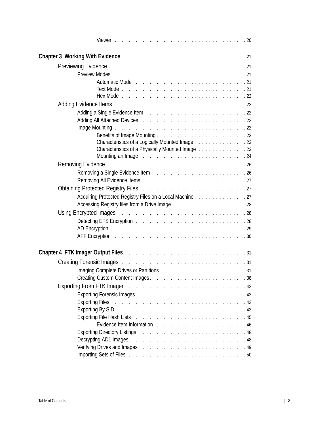| Characteristics of a Logically Mounted Image 23                                         |
|-----------------------------------------------------------------------------------------|
| Characteristics of a Physically Mounted Image 23                                        |
|                                                                                         |
|                                                                                         |
|                                                                                         |
|                                                                                         |
|                                                                                         |
| Acquiring Protected Registry Files on a Local Machine 27                                |
| Accessing Registry files from a Drive Image [1, 1, 1, 1, 1, 1, 1, 1, 1, 1, 1, 1, 1, 28] |
|                                                                                         |
|                                                                                         |
|                                                                                         |
|                                                                                         |
|                                                                                         |
|                                                                                         |
|                                                                                         |
|                                                                                         |
|                                                                                         |
|                                                                                         |
|                                                                                         |
|                                                                                         |
|                                                                                         |
|                                                                                         |
|                                                                                         |
|                                                                                         |
|                                                                                         |
|                                                                                         |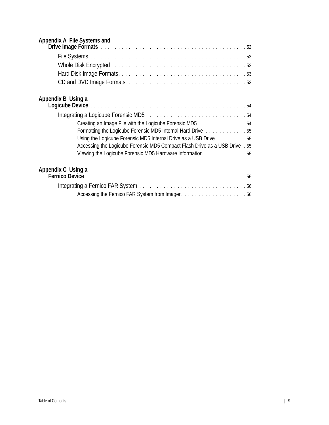| Appendix A File Systems and |  |  |
|-----------------------------|--|--|
|-----------------------------|--|--|

| Drive Image Formats et al., and a contract of the contract of the contract of the state of the state of the state of the state of the state of the state of the state of the state of the state of the state of the state of t |
|--------------------------------------------------------------------------------------------------------------------------------------------------------------------------------------------------------------------------------|
|                                                                                                                                                                                                                                |
|                                                                                                                                                                                                                                |
|                                                                                                                                                                                                                                |
|                                                                                                                                                                                                                                |
| Appendix B Using a                                                                                                                                                                                                             |
|                                                                                                                                                                                                                                |
| Creating an Image File with the Logicube Forensic MD5 54                                                                                                                                                                       |
| Formatting the Logicube Forensic MD5 Internal Hard Drive 55                                                                                                                                                                    |
| Using the Logicube Forensic MD5 Internal Drive as a USB Drive 55                                                                                                                                                               |
| Accessing the Logicube Forensic MD5 Compact Flash Drive as a USB Drive . 55                                                                                                                                                    |
| Viewing the Logicube Forensic MD5 Hardware Information 55                                                                                                                                                                      |
| Appendix C Using a                                                                                                                                                                                                             |

| Accessing the Fernico FAR System from Imager56 |  |
|------------------------------------------------|--|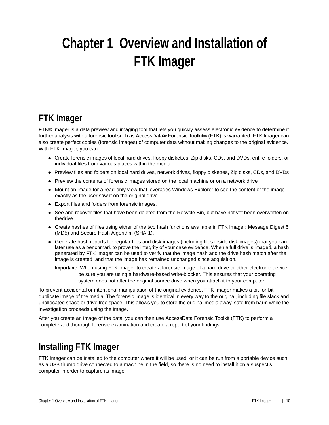# <span id="page-9-0"></span>**Chapter 1 Overview and Installation of FTK Imager**

# <span id="page-9-1"></span>**FTK Imager**

FTK® Imager is a data preview and imaging tool that lets you quickly assess electronic evidence to determine if further analysis with a forensic tool such as AccessData® Forensic Toolkit® (FTK) is warranted. FTK Imager can also create perfect copies (forensic images) of computer data without making changes to the original evidence. With FTK Imager, you can:

- Create forensic images of local hard drives, floppy diskettes, Zip disks, CDs, and DVDs, entire folders, or individual files from various places within the media.
- Preview files and folders on local hard drives, network drives, floppy diskettes, Zip disks, CDs, and DVDs
- Preview the contents of forensic images stored on the local machine or on a network drive
- Mount an image for a read-only view that leverages Windows Explorer to see the content of the image exactly as the user saw it on the original drive.
- Export files and folders from forensic images.
- See and recover files that have been deleted from the Recycle Bin, but have not yet been overwritten on thedrive.
- Create hashes of files using either of the two hash functions available in FTK Imager: Message Digest 5 (MD5) and Secure Hash Algorithm (SHA-1).
- Generate hash reports for regular files and disk images (including files inside disk images) that you can later use as a benchmark to prove the integrity of your case evidence. When a full drive is imaged, a hash generated by FTK Imager can be used to verify that the image hash and the drive hash match after the image is created, and that the image has remained unchanged since acquisition.

**Important:** When using FTK Imager to create a forensic image of a hard drive or other electronic device, be sure you are using a hardware-based write-blocker. This ensures that your operating system does not alter the original source drive when you attach it to your computer.

To prevent accidental or intentional manipulation of the original evidence, FTK Imager makes a bit-for-bit duplicate image of the media. The forensic image is identical in every way to the original, including file slack and unallocated space or drive free space. This allows you to store the original media away, safe from harm while the investigation proceeds using the image.

After you create an image of the data, you can then use AccessData Forensic Toolkit (FTK) to perform a complete and thorough forensic examination and create a report of your findings.

# <span id="page-9-2"></span>**Installing FTK Imager**

FTK Imager can be installed to the computer where it will be used, or it can be run from a portable device such as a USB thumb drive connected to a machine in the field, so there is no need to install it on a suspect's computer in order to capture its image.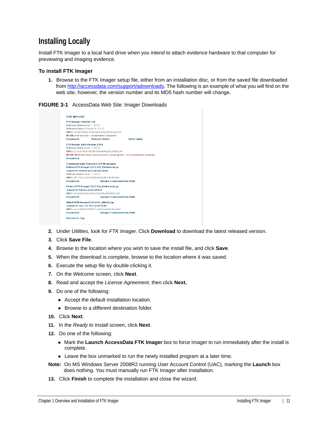### <span id="page-10-0"></span>**Installing Locally**

Install FTK Imager to a local hard drive when you intend to attach evidence hardware to that computer for previewing and imaging evidence.

#### **To install FTK Imager**

**1.** Browse to the FTK Imager setup file, either from an installation disc, or from the saved file downloaded from http://accessdata.com/support/adownloads. The following is an example of what you will find on the web site, however, the version number and its MD5 hash number will change.

**FIGURE 3-1** AccessData Web Site: Imager Downloads



- **2.** Under *Utilities*, look for *FTK Imager*. Click **Download** to download the latest released version.
- **3.** Click **Save File**.
- **4.** Browse to the location where you wish to save the install file, and click **Save**.
- **5.** When the download is complete, browse to the location where it was saved.
- **6.** Execute the setup file by double-clicking it.
- **7.** On the *Welcome* screen, click **Next**.
- **8.** Read and accept the *License Agreement*, then click **Next.**
- **9.** Do one of the following:
	- Accept the default installation location.
	- Browse to a different destination folder.
- **10.** Click **Next**.
- **11.** In the *Ready to Install* screen, click **Next**.
- **12.** Do one of the following:
	- Mark the **Launch AccessData FTK Imager** box to force Imager to run immediately after the install is complete.
	- Leave the box unmarked to run the newly installed program at a later time.
- **Note:** On MS Windows Server 2008R2 running User Account Control (UAC), marking the **Launch** box does nothing. You must manually run FTK Imager after installation.
- **13.** Click **Finish** to complete the installation and close the wizard.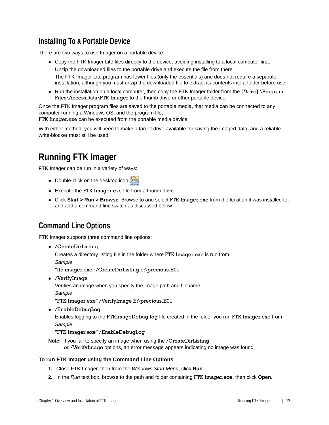### <span id="page-11-0"></span>**Installing To a Portable Device**

There are two ways to use Imager on a portable device:

- Copy the FTK Imager Lite files directly to the device, avoiding installing to a local computer first. Unzip the downloaded files to the portable drive and execute the file from there. The FTK Imager Lite program has fewer files (only the essentials) and does not require a separate installation, although you must unzip the downloaded file to extract its contents into a folder before use.
- Run the installation on a local computer, then copy the FTK Imager folder from the [*Drive*]:\Program Files\AccessData\FTK Imager to the thumb drive or other portable device.

Once the FTK Imager program files are saved to the portable media, that media can be connected to any computer running a Windows OS, and the program file,

FTK Imager.exe can be executed from the portable media device.

With either method, you will need to make a target drive available for saving the imaged data, and a reliable write-blocker must still be used.

# <span id="page-11-1"></span>**Running FTK Imager**

FTK Imager can be run in a variety of ways:

- $\bullet$  Double-click on the desktop icon  $\mathbb{R}$ .
- Execute the FTK Imager.exe file from a thumb drive.
- Click **Start > Run > Browse**. Browse to and select FTK Imager.exe from the location it was installed to, and add a command line switch as discussed below.

### <span id="page-11-2"></span>**Command Line Options**

FTK Imager supports three command line options:

/CreateDirListing

Creates a directory listing file in the folder where FTK Imager.exe is run from.

*Sample*:

"ftk imager.exe" /CreateDirListing e:\precious.E01

/VerifyImage

Verifies an image when you specify the image path and filename.

*Sample*:

"FTK Imager.exe" /VerifyImage E:\precious.E01

/EnableDebugLog

Enables logging to the FTKImageDebug.log file created in the folder you run FTK Imager.exe from. *Sample*:

### "FTK Imager.exe" /EnableDebugLog

**Note:** If you fail to specify an image when using the /CreateDirListing

or /VerifyImage options, an error message appears indicating no image was found.

#### **To run FTK Imager using the Command Line Options**

- **1.** Close FTK Imager, then from the *Windows Start Menu*, click **Run**.
- **2.** In the *Run* text box, browse to the path and folder containing FTK Imager.exe, then click **Open**.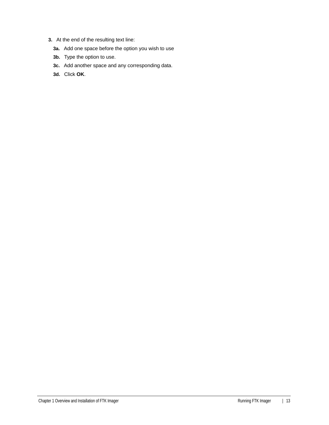- **3.** At the end of the resulting text line:
	- **3a.** Add one space before the option you wish to use
	- **3b.** Type the option to use.
	- **3c.** Add another space and any corresponding data.
	- **3d.** Click **OK**.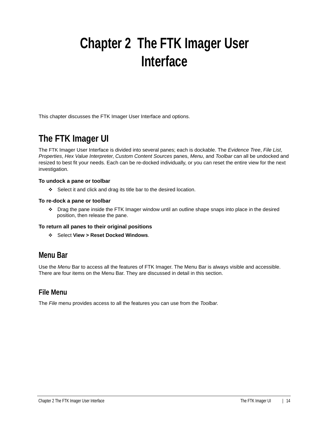# <span id="page-13-0"></span>**Chapter 2 The FTK Imager User Interface**

This chapter discusses the FTK Imager User Interface and options.

# <span id="page-13-1"></span>**The FTK Imager UI**

The FTK Imager User Interface is divided into several panes; each is dockable. The *Evidence Tree*, *File List*, *Properties*, *Hex Value Interpreter*, *Custom Content Sources* panes, *Menu*, and *Toolbar* can all be undocked and resized to best fit your needs. Each can be re-docked individually, or you can reset the entire view for the next investigation.

### **To undock a pane or toolbar**

Select it and click and drag its title bar to the desired location.

#### **To re-dock a pane or toolbar**

Drag the pane inside the FTK Imager window until an outline shape snaps into place in the desired position, then release the pane.

#### **To return all panes to their original positions**

Select **View > Reset Docked Windows**.

### <span id="page-13-2"></span>**Menu Bar**

Use the *Menu* Bar to access all the features of FTK Imager. The Menu Bar is always visible and accessible. There are four items on the Menu Bar. They are discussed in detail in this section.

### <span id="page-13-3"></span>**File Menu**

The *File* menu provides access to all the features you can use from the *Toolbar*.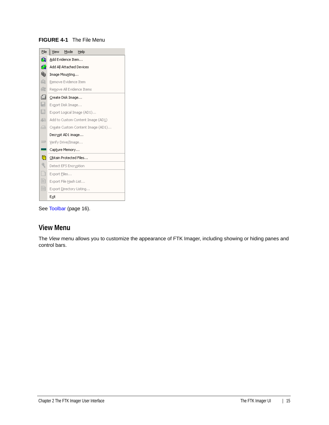### **FIGURE 4-1** The File Menu



See [Toolbar \(page 16\).](#page-15-2)

### <span id="page-14-0"></span>**View Menu**

The *View* menu allows you to customize the appearance of FTK Imager, including showing or hiding panes and control bars.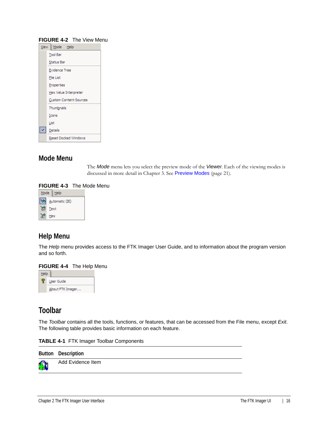| <b>View</b> | Mode Help                     |
|-------------|-------------------------------|
|             | <b>Tool Bar</b>               |
|             | <b>Status Bar</b>             |
|             | <b>Evidence Tree</b>          |
|             | File List                     |
|             | Properties                    |
|             | Hex Value Interpreter         |
|             | <b>Custom Content Sources</b> |
|             | Thumbnails                    |
|             | Icons                         |
|             | List                          |
|             | Details                       |
|             | Reset Docked Windows          |

#### **FIGURE 4-2** The View Menu

### <span id="page-15-0"></span>**Mode Menu**

The *Mode* menu lets you select the preview mode of the *Viewer*. Each of the viewing modes is discussed in more detail in Chapter 3. See [Preview Modes](#page-20-5) (page 21).

#### **FIGURE 4-3** The Mode Menu



### <span id="page-15-1"></span>**Help Menu**

The *Help* menu provides access to the FTK Imager User Guide, and to information about the program version and so forth.

#### **FIGURE 4-4** The Help Menu



### <span id="page-15-2"></span>**Toolbar**

The *Toolbar* contains all the tools, functions, or features, that can be accessed from the File menu, except *Exit*. The following table provides basic information on each feature.

|  |  |  |  | <b>TABLE 4-1 FTK Imager Toolbar Components</b> |
|--|--|--|--|------------------------------------------------|
|--|--|--|--|------------------------------------------------|

|   | Button Description |  |
|---|--------------------|--|
| Ω | Add Evidence Item  |  |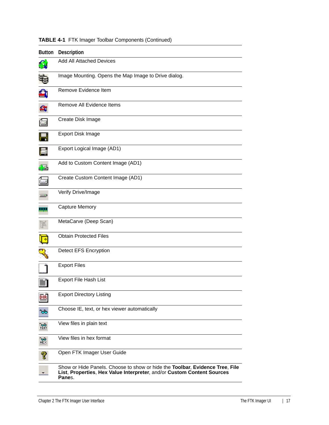| <b>Button</b> | <b>Description</b>                                                                                                                                               |
|---------------|------------------------------------------------------------------------------------------------------------------------------------------------------------------|
|               | <b>Add All Attached Devices</b>                                                                                                                                  |
|               | Image Mounting. Opens the Map Image to Drive dialog.                                                                                                             |
|               | Remove Evidence Item                                                                                                                                             |
| £,            | Remove All Evidence Items                                                                                                                                        |
| 僵             | Create Disk Image                                                                                                                                                |
|               | <b>Export Disk Image</b>                                                                                                                                         |
|               | Export Logical Image (AD1)                                                                                                                                       |
| 42            | Add to Custom Content Image (AD1)                                                                                                                                |
| р.<br>Пол     | Create Custom Content Image (AD1)                                                                                                                                |
|               | Verify Drive/Image                                                                                                                                               |
|               | <b>Capture Memory</b>                                                                                                                                            |
|               | MetaCarve (Deep Scan)                                                                                                                                            |
|               | <b>Obtain Protected Files</b>                                                                                                                                    |
|               | <b>Detect EFS Encryption</b>                                                                                                                                     |
|               | <b>Export Files</b>                                                                                                                                              |
|               | Export File Hash List                                                                                                                                            |
| DIR           | <b>Export Directory Listing</b>                                                                                                                                  |
|               | Choose IE, text, or hex viewer automatically                                                                                                                     |
| 蘯             | View files in plain text                                                                                                                                         |
| 巖             | View files in hex format                                                                                                                                         |
| 7             | Open FTK Imager User Guide                                                                                                                                       |
|               | Show or Hide Panels. Choose to show or hide the Toolbar, Evidence Tree, File<br>List, Properties, Hex Value Interpreter, and/or Custom Content Sources<br>Panes. |

### **TABLE 4-1** FTK Imager Toolbar Components (Continued)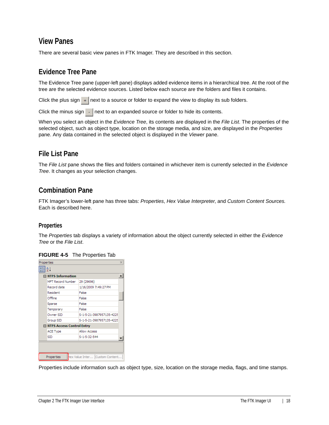### <span id="page-17-0"></span>**View Panes**

There are several basic view panes in FTK Imager. They are described in this section.

### <span id="page-17-1"></span>**Evidence Tree Pane**

The Evidence Tree pane (upper-left pane) displays added evidence items in a hierarchical tree. At the root of the tree are the selected evidence sources. Listed below each source are the folders and files it contains.

Click the plus sign  $\rightarrow$  next to a source or folder to expand the view to display its sub folders.

Click the minus sign  $\overline{\phantom{a}}$  hext to an expanded source or folder to hide its contents.

When you select an object in the *Evidence Tree*, its contents are displayed in the *File List*. The properties of the selected object, such as object type, location on the storage media, and size, are displayed in the *Properties* pane. Any data contained in the selected object is displayed in the *Viewer* pane.

### <span id="page-17-2"></span>**File List Pane**

The *File List* pane shows the files and folders contained in whichever item is currently selected in the *Evidence Tree*. It changes as your selection changes.

### <span id="page-17-3"></span>**Combination Pane**

FTK Imager's lower-left pane has three tabs: *Properties*, *Hex Value Interpreter*, and *Custom Content Sources.* Each is described here.

### **Properties**

The *Properties* tab displays a variety of information about the object currently selected in either the *Evidence Tree* or the *File List*.

|  | <b>FIGURE 4-5</b> The Properties Tab |  |
|--|--------------------------------------|--|
|  |                                      |  |

| Properties |                             | $\times$                       |
|------------|-----------------------------|--------------------------------|
|            | ĝ↓                          |                                |
|            | $\Box$ NTFS Information     |                                |
|            | MFT Record Number           | 29 (29696)                     |
|            | Record date                 | 1/16/2009 7:49:27 PM           |
|            | Resident                    | False                          |
|            | Offline                     | False                          |
|            | Sparse                      | False                          |
|            | Temporary                   | False                          |
|            | Owner SID                   | S-1-5-21-3987957135-4225       |
|            | Group SID                   | S-1-5-21-3987957135-4225       |
|            | □ NTFS Access Control Entry |                                |
|            | <b>ACE Type</b>             | <b>Allow Access</b>            |
|            | <b>SID</b>                  | S-1-5-32-544                   |
|            |                             |                                |
|            |                             |                                |
|            | Properties                  | Hex Value Inter Custom Content |

Properties include information such as object type, size, location on the storage media, flags, and time stamps.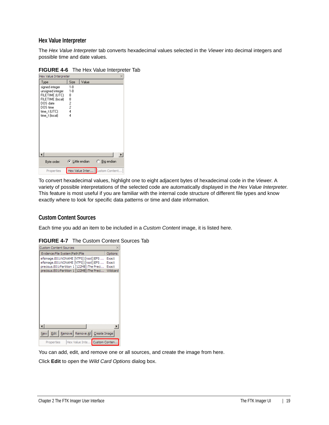### **Hex Value Interpreter**

The *Hex Value Interpreter* tab converts hexadecimal values selected in the *Viewer* into decimal integers and possible time and date values.

| Hex Value Interpreter                                                                                                              |                                  |                         |                                  | $\times$              |
|------------------------------------------------------------------------------------------------------------------------------------|----------------------------------|-------------------------|----------------------------------|-----------------------|
| Type                                                                                                                               | Size                             | Value                   |                                  |                       |
| signed integer<br>unsigned integer<br>FILETIME (UTC)<br>FILETIME (local)<br>DOS date<br>DOS time<br>time_t (UTC)<br>time_t (local) | $1-8$<br>$1-8$<br>8<br>8224<br>4 |                         |                                  | $\blacktriangleright$ |
| Byte order:                                                                                                                        |                                  | $\bullet$ Little endian | ◯ Big endian                     |                       |
| Properties                                                                                                                         |                                  |                         | Hex Value Inter   Custom Content |                       |

### **FIGURE 4-6** The Hex Value Interpreter Tab

To convert hexadecimal values, highlight one to eight adjacent bytes of hexadecimal code in the *Viewer*. A variety of possible interpretations of the selected code are automatically displayed in the *Hex Value Interpreter*. This feature is most useful if you are familiar with the internal code structure of different file types and know exactly where to look for specific data patterns or time and date information.

### **Custom Content Sources**

Each time you add an item to be included in a *Custom Content* image, it is listed here.

| <b>Custom Content Sources</b>       |                                            |          |
|-------------------------------------|--------------------------------------------|----------|
| Evidence: File System   Path   File |                                            | Options  |
|                                     | efsimage.E01:NONAME [NTFS]   [root]   EFS  | Exact    |
|                                     | efsimage.E01:NONAME [NTFS]  [root]  EFS    | Exact    |
|                                     | precious.E01:Partition 1 [122MB]:The Preci | Exact    |
|                                     | precious.E01:Partition 1 [122MB]:The Preci | Wildcard |
|                                     |                                            |          |
|                                     |                                            |          |
|                                     |                                            |          |
|                                     |                                            |          |
|                                     |                                            |          |
|                                     |                                            |          |
|                                     |                                            |          |
|                                     |                                            |          |
| New                                 | Edit   Remove   Remove All   Create Image  |          |

**FIGURE 4-7** The Custom Content Sources Tab

You can add, edit, and remove one or all sources, and create the image from here.

Click **Edit** to open the *Wild Card Options* dialog box.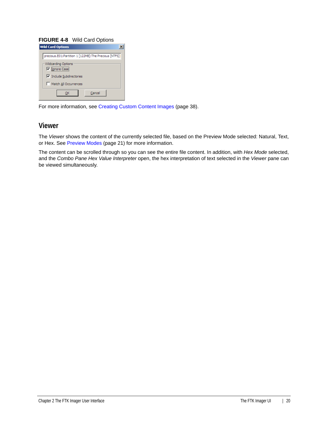### **FIGURE 4-8** Wild Card Options

| <b>Wild Card Options</b>                             |  |
|------------------------------------------------------|--|
| precious.E01:Partition 1 [122MB]:The Precious [NTFS] |  |
| Wildcarding Options<br><b>▽</b> Ignore Case          |  |
| $\triangledown$ Include Subdirectories               |  |
| Match All Occurrences                                |  |
| Cancel                                               |  |

For more information, see [Creating Custom Content Images \(page 38\)](#page-37-1).

### <span id="page-19-0"></span>**Viewer**

The *Viewer* shows the content of the currently selected file, based on the Preview Mode selected: Natural, Text, or Hex. See [Preview Modes \(page 21\)](#page-20-5) for more information.

The content can be scrolled through so you can see the entire file content. In addition, with *Hex Mode* selected, and the *Combo Pane Hex Value Interpreter* open, the hex interpretation of text selected in the *Viewer* pane can be viewed simultaneously.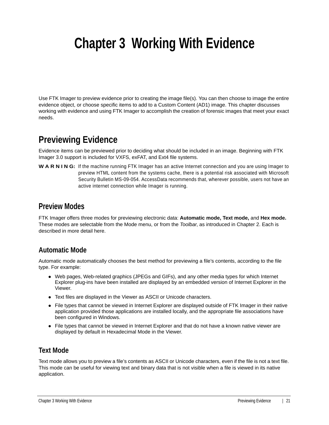# <span id="page-20-0"></span>**Chapter 3 Working With Evidence**

Use FTK Imager to preview evidence prior to creating the image file(s). You can then choose to image the entire evidence object, or choose specific items to add to a Custom Content (AD1) image. This chapter discusses working with evidence and using FTK Imager to accomplish the creation of forensic images that meet your exact needs.

## <span id="page-20-1"></span>**Previewing Evidence**

Evidence items can be previewed prior to deciding what should be included in an image. Beginning with FTK Imager 3.0 support is included for VXFS, exFAT, and Ext4 file systems.

W A R N I N G: If the machine running FTK Imager has an active Internet connection and you are using Imager to preview HTML content from the systems cache, there is a potential risk associated with Microsoft Security Bulletin MS-09-054. AccessData recommends that, wherever possible, users not have an active internet connection while Imager is running.

### <span id="page-20-5"></span><span id="page-20-2"></span>**Preview Modes**

FTK Imager offers three modes for previewing electronic data: **Automatic mode, Text mode,** and **Hex mode.**  These modes are selectable from the Mode menu, or from the *Toolbar*, as introduced in Chapter 2. Each is described in more detail here.

### <span id="page-20-3"></span>**Automatic Mode**

Automatic mode automatically chooses the best method for previewing a file's contents, according to the file type. For example:

- Web pages, Web-related graphics (JPEGs and GIFs), and any other media types for which Internet Explorer plug-ins have been installed are displayed by an embedded version of Internet Explorer in the Viewer.
- Text files are displayed in the Viewer as ASCII or Unicode characters.
- File types that cannot be viewed in Internet Explorer are displayed outside of FTK Imager in their native application provided those applications are installed locally, and the appropriate file associations have been configured in Windows.
- File types that cannot be viewed in Internet Explorer and that do not have a known native viewer are displayed by default in Hexadecimal Mode in the Viewer.

### <span id="page-20-4"></span>**Text Mode**

Text mode allows you to preview a file's contents as ASCII or Unicode characters, even if the file is not a text file. This mode can be useful for viewing text and binary data that is not visible when a file is viewed in its native application.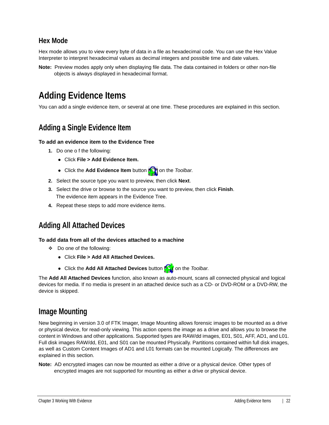### <span id="page-21-0"></span>**Hex Mode**

Hex mode allows you to view every byte of data in a file as hexadecimal code. You can use the Hex Value Interpreter to interpret hexadecimal values as decimal integers and possible time and date values.

**Note:** Preview modes apply only when displaying file data. The data contained in folders or other non-file objects is always displayed in hexadecimal format.

# <span id="page-21-1"></span>**Adding Evidence Items**

You can add a single evidence item, or several at one time. These procedures are explained in this section.

### <span id="page-21-2"></span>**Adding a Single Evidence Item**

### **To add an evidence item to the Evidence Tree**

- **1.** Do one o f the following:
	- Click **File > Add Evidence Item.**
	- Click the **Add Evidence Item** button **nota** on the *Toolbar*.
- **2.** Select the source type you want to preview, then click **Next**.
- **3.** Select the drive or browse to the source you want to preview, then click **Finish**. The evidence item appears in the Evidence Tree.
- **4.** Repeat these steps to add more evidence items.

### <span id="page-21-3"></span>**Adding All Attached Devices**

### **To add data from all of the devices attached to a machine**

- Do one of the following:
	- Click **File > Add All Attached Devices.**
	- Click the Add All Attached Devices button **Tout** on the *Toolbar*.

The **Add All Attached Devices** function, also known as auto-mount, scans all connected physical and logical devices for media. If no media is present in an attached device such as a CD- or DVD-ROM or a DVD-RW, the device is skipped.

### <span id="page-21-4"></span>**Image Mounting**

New beginning in version 3.0 of FTK Imager, Image Mounting allows forensic images to be mounted as a drive or physical device, for read-only viewing. This action opens the image as a drive and allows you to browse the content in Windows and other applications. Supported types are RAW/dd images, E01, S01, AFF, AD1, and L01. Full disk images RAW/dd, E01, and S01 can be mounted Physically. Partitions contained within full disk images, as well as Custom Content Images of AD1 and L01 formats can be mounted Logically. The differences are explained in this section.

**Note:** AD encrypted images can now be mounted as either a drive or a physical device. Other types of encrypted images are not supported for mounting as either a drive or physical device.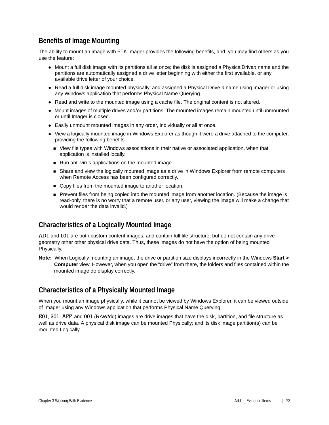### <span id="page-22-0"></span>**Benefits of Image Mounting**

The ability to mount an image with FTK Imager provides the following benefits, and you may find others as you use the feature:

- Mount a full disk image with its partitions all at once; the disk is assigned a PhysicalDrive*n* name and the partitions are automatically assigned a drive letter beginning with either the first available, or any available drive letter of your choice.
- Read a full disk image mounted physically, and assigned a Physical Drive *n* name using Imager or using any Windows application that performs Physical Name Querying.
- Read and write to the mounted image using a cache file. The original content is not altered.
- Mount images of multiple drives and/or partitions. The mounted images remain mounted until unmounted or until Imager is closed.
- Easily unmount mounted images in any order, individually or all at once.
- View a logically mounted image in Windows Explorer as though it were a drive attached to the computer, providing the following benefits:
	- View file types with Windows associations in their native or associated application, when that application is installed locally.
	- Run anti-virus applications on the mounted image.
	- **Share and view the logically mounted image as a drive in Windows Explorer from remote computers** when Remote Access has been configured correctly.
	- Copy files from the mounted image to another location.
	- Prevent files from being copied into the mounted image from another location. (Because the image is read-only, there is no worry that a remote user, or any user, viewing the image will make a change that would render the data invalid.)

### <span id="page-22-1"></span>**Characteristics of a Logically Mounted Image**

AD1 and L01 are both custom content images, and contain full file structure, but do not contain any drive geometry other other physical drive data. Thus, these images do not have the option of being mounted Physically.

**Note:** When Logically mounting an image, the drive or partition size displays incorrectly in the Windows **Start > Computer** view. However, when you open the "drive" from there, the folders and files contained within the mounted image do display correctly.

### <span id="page-22-2"></span>**Characteristics of a Physically Mounted Image**

When you mount an image physically, while it cannot be viewed by Windows Explorer, it can be viewed outside of Imager using any Windows application that performs Physical Name Querying.

E01, S01, AFF, and 001 (RAW/dd) images are drive images that have the disk, partition, and file structure as well as drive data. A physical disk image can be mounted Physically; and its disk image partition(s) can be mounted Logically.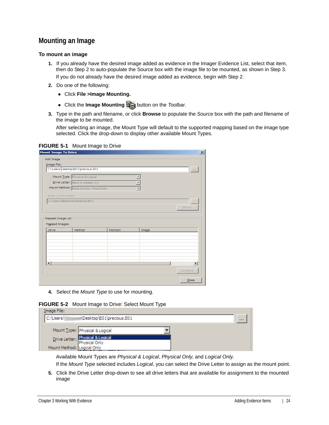### <span id="page-23-0"></span>**Mounting an Image**

#### **To mount an image**

- **1.** If you already have the desired image added as evidence in the Imager Evidence List, select that item, then do Step 2 to auto-populate the Source box with the image file to be mounted, as shown in Step 3. If you do not already have the desired image added as evidence, begin with Step 2.
- **2.** Do one of the following:
	- Click **File >Image Mounting.**
	- Click the **Image Mounting Figure** button on the *Toolbar*.
- **3.** Type in the path and filename, or click **Browse** to populate the *Source* box with the path and filename of the image to be mounted.

After selecting an image, the Mount Type will default to the supported mapping based on the image type selected. Click the drop-down to display other available Mount Types.

|  | <b>FIGURE 5-1</b> Mount Image to Drive |
|--|----------------------------------------|
|--|----------------------------------------|

| Add Image                                           |                                        |           |       |                |
|-----------------------------------------------------|----------------------------------------|-----------|-------|----------------|
| Image File:                                         | C:\Users\Desktop\E01\precious.E01      |           |       |                |
|                                                     |                                        |           |       |                |
|                                                     | Mount Type: Physical & Logical         |           |       |                |
|                                                     | Drive Letter: Next Available (J:)      |           |       |                |
|                                                     | Mount Method: Block Device / Read Only |           |       |                |
| Write Cache Folder:                                 |                                        |           |       |                |
|                                                     | C:\Users\jleishman\Desktop\E01         |           |       |                |
|                                                     |                                        |           |       | Mount          |
|                                                     |                                        |           |       |                |
|                                                     |                                        |           |       |                |
|                                                     |                                        |           |       |                |
|                                                     | Method                                 | Partition | Image |                |
|                                                     |                                        |           |       |                |
| Mapped Image List<br>Mapped Images:<br><b>Drive</b> |                                        |           |       |                |
|                                                     |                                        |           |       |                |
|                                                     |                                        |           |       |                |
|                                                     |                                        |           |       |                |
| $\lvert$                                            |                                        |           |       |                |
|                                                     |                                        |           |       |                |
|                                                     |                                        |           |       | <b>Unmount</b> |
|                                                     |                                        |           |       |                |

**4.** Select the *Mount Type* to use for mounting.

|  | <b>FIGURE 5-2</b> Mount Image to Drive: Select Mount Type |  |
|--|-----------------------------------------------------------|--|
|--|-----------------------------------------------------------|--|

| Image File:                |                                                   |      |
|----------------------------|---------------------------------------------------|------|
| C:\Users                   |                                                   | 1111 |
|                            | Mount Type: Physical & Logical                    |      |
|                            | Drive Letter: Physical & Logical<br>Physical Only |      |
| Mount Method: Logical Only |                                                   |      |

Available Mount Types are *Physical & Logical*, *Physical Only*, and *Logical Only*.

If the *Mount Type* selected includes *Logical*, you can select the Drive Letter to assign as the mount point.

**5.** Click the Drive Letter drop-down to see all drive letters that are available for assignment to the mounted image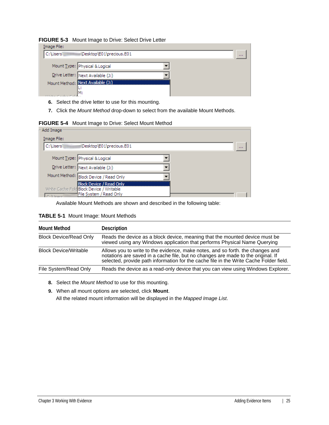|  | <b>FIGURE 5-3</b> Mount Image to Drive: Select Drive Letter |  |
|--|-------------------------------------------------------------|--|
|--|-------------------------------------------------------------|--|

| Image File: |                                   |  |
|-------------|-----------------------------------|--|
|             | 1.1.1                             |  |
|             |                                   |  |
|             | Mount Type: Physical & Logical    |  |
|             | Drive Letter: Next Available (J:) |  |
|             |                                   |  |
|             | Mount Method: Next Available (1)  |  |
|             |                                   |  |
|             | М:                                |  |

- **6.** Select the drive letter to use for this mounting.
- **7.** Click the *Mount Method* drop-down to select from the available Mount Methods.

**FIGURE 5-4** Mount Image to Drive: Select Mount Method

| Add Image      |                                               |       |
|----------------|-----------------------------------------------|-------|
| Image File:    |                                               |       |
| C:\Users       | <b>Illiillinnum</b> /Desktop/E01\precious.E01 | 1.1.1 |
|                |                                               |       |
|                | Mount Type: Physical & Logical                |       |
|                | Drive Letter: Next Available (J:)             |       |
|                | Mount Method: Block Device / Read Only        |       |
|                | <b>Block Device / Read Only</b>               |       |
|                | Write Cache Fold Block Device / Writable      |       |
| $C$ . Whenever | File System / Read Only                       |       |

Available Mount Methods are shown and described in the following table:

| <b>Mount Method</b>           | Description                                                                                                                                                                                                                                                  |
|-------------------------------|--------------------------------------------------------------------------------------------------------------------------------------------------------------------------------------------------------------------------------------------------------------|
| <b>Block Device/Read Only</b> | Reads the device as a block device, meaning that the mounted device must be<br>viewed using any Windows application that performs Physical Name Querying                                                                                                     |
| <b>Block Device/Writable</b>  | Allows you to write to the evidence, make notes, and so forth. the changes and<br>notations are saved in a cache file, but no changes are made to the original. If<br>selected, provide path information for the cache file in the Write Cache Folder field. |
| File System/Read Only         | Reads the device as a read-only device that you can view using Windows Explorer.                                                                                                                                                                             |

**8.** Select the *Mount Method* to use for this mounting.

**9.** When all mount options are selected, click **Mount**.

All the related mount information will be displayed in the *Mapped Image List*.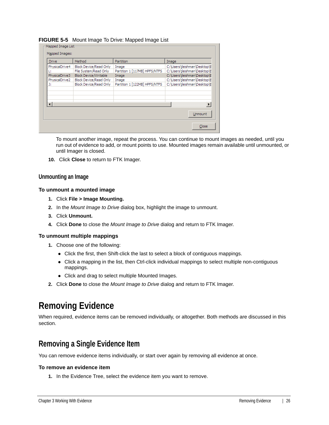#### **FIGURE 5-5** Mount Image To Drive: Mapped Image List

| <b>Block Device/Read Only</b><br>Image<br>File System/Read Only<br>Partition 1 [117MB] HPFS/NTFS<br><b>Block Device/Writable</b><br>Image | C:\Users\jleishman\Desktop\E  |
|-------------------------------------------------------------------------------------------------------------------------------------------|-------------------------------|
|                                                                                                                                           | C:\Users\jleishman\Desktop\E  |
|                                                                                                                                           |                               |
|                                                                                                                                           | C:\Users\jleishman\Desktop\E  |
| Block Device/Read Only<br>Image                                                                                                           | C:\Users\jleishman\Desktop\E  |
| Block Device/Read Only                                                                                                                    | C:\Users\jleishman\Desktop\E  |
|                                                                                                                                           |                               |
|                                                                                                                                           |                               |
|                                                                                                                                           |                               |
|                                                                                                                                           |                               |
|                                                                                                                                           |                               |
|                                                                                                                                           |                               |
|                                                                                                                                           | Partition 1 [122MB] HPFS/NTFS |

To mount another image, repeat the process. You can continue to mount images as needed, until you run out of evidence to add, or mount points to use. Mounted images remain available until unmounted, or until Imager is closed.

**10.** Click **Close** to return to FTK Imager.

#### **Unmounting an Image**

#### **To unmount a mounted image**

- **1.** Click **File > Image Mounting.**
- **2.** In the *Mount Image to Drive* dialog box, highlight the image to unmount.
- **3.** Click **Unmount.**
- **4.** Click **Done** to close the *Mount Image to Drive* dialog and return to FTK Imager.

#### **To unmount multiple mappings**

- **1.** Choose one of the following:
	- Click the first, then Shift-click the last to select a block of contiguous mappings.
	- Click a mapping in the list, then Ctrl-click individual mappings to select multiple non-contiguous mappings.
	- Click and drag to select multiple Mounted Images.
- **2.** Click **Done** to close the *Mount Image to Drive* dialog and return to FTK Imager.

## <span id="page-25-0"></span>**Removing Evidence**

When required, evidence items can be removed individually, or altogether. Both methods are discussed in this section.

### <span id="page-25-1"></span>**Removing a Single Evidence Item**

You can remove evidence items individually, or start over again by removing all evidence at once.

#### **To remove an evidence item**

**1.** In the Evidence Tree, select the evidence item you want to remove.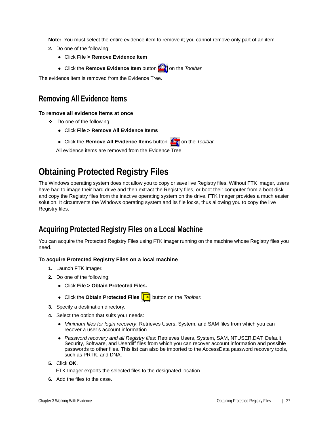**Note:** You must select the entire evidence item to remove it; you cannot remove only part of an item.

- **2.** Do one of the following:
	- Click **File > Remove Evidence Item**
	- Click the **Remove Evidence Item** button **for the** *Toolbar***.**

The evidence item is removed from the Evidence Tree.

### <span id="page-26-0"></span>**Removing All Evidence Items**

### **To remove all evidence items at once**

- Do one of the following:
	- Click **File > Remove All Evidence Items**
	- Click the **Remove All Evidence Items** button **Itam** on the *Toolbar*.

All evidence items are removed from the Evidence Tree.

# <span id="page-26-1"></span>**Obtaining Protected Registry Files**

The Windows operating system does not allow you to copy or save live Registry files. Without FTK Imager, users have had to image their hard drive and then extract the Registry files, or boot their computer from a boot disk and copy the Registry files from the inactive operating system on the drive. FTK Imager provides a much easier solution. It circumvents the Windows operating system and its file locks, thus allowing you to copy the live Registry files.

### <span id="page-26-2"></span>**Acquiring Protected Registry Files on a Local Machine**

You can acquire the Protected Registry Files using FTK Imager running on the machine whose Registry files you need.

### **To acquire Protected Registry Files on a local machine**

- **1.** Launch FTK Imager.
- **2.** Do one of the following:
	- Click **File > Obtain Protected Files.**
	- Click the **Obtain Protected Files | •** button on the *Toolbar*.
- **3.** Specify a destination directory.
- **4.** Select the option that suits your needs:
	- *Minimum files for login recovery*: Retrieves Users, System, and SAM files from which you can recover a user's account information.
	- *Password recovery and all Registry files*: Retrieves Users, System, SAM, NTUSER.DAT, Default, Security, Software, and Userdiff files from which you can recover account information and possible passwords to other files. This list can also be imported to the AccessData password recovery tools, such as PRTK, and DNA.
- **5.** Click **OK**.
	- FTK Imager exports the selected files to the designated location.
- **6.** Add the files to the case.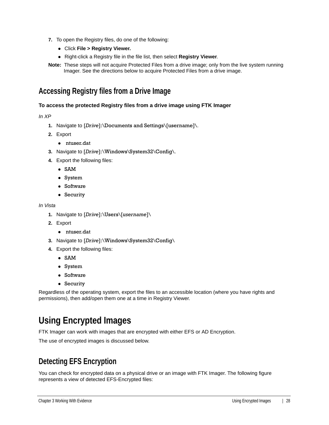- **7.** To open the Registry files, do one of the following:
	- Click **File > Registry Viewer.**
	- Right-click a Registry file in the file list, then select **Registry Viewer**.
- **Note:** These steps will not acquire Protected Files from a drive image; only from the live system running Imager. See the directions below to acquire Protected Files from a drive image.

### <span id="page-27-0"></span>**Accessing Registry files from a Drive Image**

### **To access the protected Registry files from a drive image using FTK Imager**

*In XP*

- **1.** Navigate to [*Drive*]:\Documents and Settings\[username]\.
- **2.** Export
	- ntuser.dat
- **3.** Navigate to [*Drive*]:\Windows\System32\Config\.
- **4.** Export the following files:
	- SAM
	- System
	- Software
	- Security

#### *In Vista*

- **1.** Navigate to [*Drive*]:\Users\[*username*]\
- **2.** Export
	- ntuser.dat
- **3.** Navigate to [*Drive*]:\Windows\System32\Config\
- **4.** Export the following files:
	- SAM
	- System
	- Software
	- Security

Regardless of the operating system, export the files to an accessible location (where you have rights and permissions), then add/open them one at a time in Registry Viewer.

# <span id="page-27-1"></span>**Using Encrypted Images**

FTK Imager can work with images that are encrypted with either EFS or AD Encryption.

The use of encrypted images is discussed below.

### <span id="page-27-3"></span><span id="page-27-2"></span>**Detecting EFS Encryption**

You can check for encrypted data on a physical drive or an image with FTK Imager. The following figure represents a view of detected EFS-Encrypted files: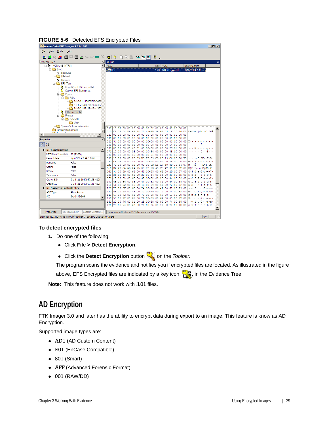

### **FIGURE 5-6** Detected EFS Encrypted Files

#### **To detect encrypted files**

- **1.** Do one of the following:
	- Click **File > Detect Encryption**.
	- **Click the Detect Encryption** button  $\frac{1}{\sqrt{2\pi}}$  on the *Toolbar*.

The program scans the evidence and notifies you if encrypted files are located. As illustrated in the figure above, EFS Encrypted files are indicated by a key icon,  $\mathbb{F}_{\mathbb{Z}}$ , in the Evidence Tree.

**Note:** This feature does not work with .L01 files.

### <span id="page-28-0"></span>**AD Encryption**

FTK Imager 3.0 and later has the ability to encrypt data during export to an image. This feature is know as AD Encryption.

Supported image types are:

- AD1 (AD Custom Content)
- E01 (EnCase Compatible)
- S01 (Smart)
- AFF (Advanced Forensic Format)
- 001 (RAW/DD)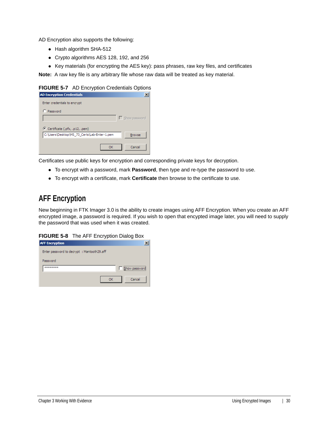AD Encryption also supports the following:

- Hash algorithm SHA-512
- Crypto algorithms AES 128, 192, and 256
- Key materials (for encrypting the AES key): pass phrases, raw key files, and certificates

**Note:** A raw key file is any arbitrary file whose raw data will be treated as key material.

#### **FIGURE 5-7** AD Encryption Credentials Options

| <b>AD Encryption Credentials</b>             | ×                    |
|----------------------------------------------|----------------------|
| Enter credentials to encrypt                 |                      |
| C Password                                   |                      |
|                                              | $\Box$ Show password |
|                                              |                      |
| C Certificate (.pfx, .p12, .pem)             |                      |
| C:\Users\Desktop\MS_73_Certs\Lab-Enter-1.pem | <b>Browse</b>        |
|                                              |                      |
| ОK                                           | Cancel               |
|                                              |                      |

Certificates use public keys for encryption and corresponding private keys for decryption.

- To encrypt with a password, mark **Password**, then type and re-type the password to use.
- To encrypt with a certificate, mark **Certificate** then browse to the certificate to use.

### <span id="page-29-0"></span>**AFF Encryption**

New beginning in FTK Imager 3.0 is the ability to create images using AFF Encryption. When you create an AFF encrypted image, a password is required. If you wish to open that encypted image later, you will need to supply the password that was used when it was created.

#### **FIGURE 5-8** The AFF Encryption Dialog Box

| <b>AFF Encryption</b>                      |                                            |
|--------------------------------------------|--------------------------------------------|
| Enter password to decrypt : Mantooth29.aff |                                            |
| Password                                   |                                            |
| ********                                   | ,,,,,,,,,,,,,,,,,,,,,,,,,<br>Show password |
|                                            | Cancel                                     |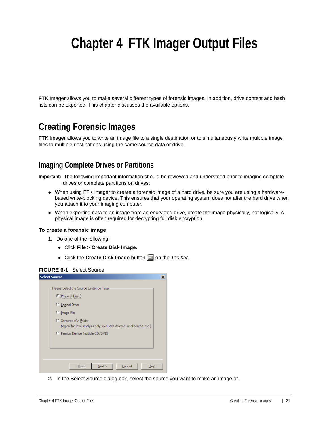# <span id="page-30-0"></span>**Chapter 4 FTK Imager Output Files**

FTK Imager allows you to make several different types of forensic images. In addition, drive content and hash lists can be exported. This chapter discusses the available options.

## <span id="page-30-1"></span>**Creating Forensic Images**

FTK Imager allows you to write an image file to a single destination or to simultaneously write multiple image files to multiple destinations using the same source data or drive.

### <span id="page-30-2"></span>**Imaging Complete Drives or Partitions**

**Important:** The following important information should be reviewed and understood prior to imaging complete drives or complete partitions on drives:

- When using FTK Imager to create a forensic image of a hard drive, be sure you are using a hardwarebased write-blocking device. This ensures that your operating system does not alter the hard drive when you attach it to your imaging computer.
- When exporting data to an image from an encrypted drive, create the image physically, not logically. A physical image is often required for decrypting full disk encryption.

#### **To create a forensic image**

- **1.** Do one of the following:
	- Click **File > Create Disk Image**.
	- Click the **Create Disk Image** button **on** the *Toolbar*.

#### **FIGURE 6-1** Select Source

| <b>Select Source</b>                                                                              | ᄌ |
|---------------------------------------------------------------------------------------------------|---|
| Please Select the Source Evidence Type                                                            |   |
| C Physical Drive                                                                                  |   |
| C Logical Drive                                                                                   |   |
| C Image File                                                                                      |   |
| C Contents of a Folder<br>(logical file-level analysis only; excludes deleted, unallocated, etc.) |   |
| C Femico Device (multiple CD/DVD)                                                                 |   |
|                                                                                                   |   |
|                                                                                                   |   |
|                                                                                                   |   |
| Next<br>Cancel<br>< Back<br>Help                                                                  |   |

**2.** In the Select Source dialog box, select the source you want to make an image of.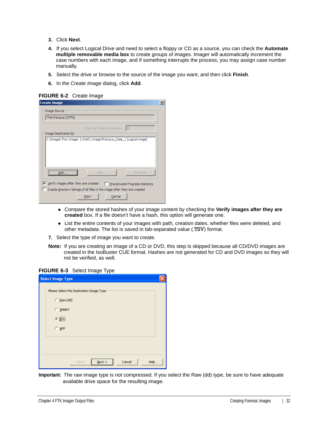- **3.** Click **Next**.
- **4.** If you select Logical Drive and need to select a floppy or CD as a source, you can check the **Automate multiple removable media box** to create groups of images. Imager will automatically increment the case numbers with each image, and if something interrupts the process, you may assign case number manually.
- **5.** Select the drive or browse to the source of the image you want, and then click **Finish**.
- **6.** In the *Create Image* dialog, click **Add**.

**FIGURE 6-2** Create Image

| <b>Create Image</b>                                  |                                                                            |                                  |
|------------------------------------------------------|----------------------------------------------------------------------------|----------------------------------|
| Image Source                                         |                                                                            |                                  |
| The Precious [NTFS]                                  |                                                                            |                                  |
|                                                      | Starting Evidence Number:                                                  | 10                               |
| Image Destination(s)                                 | C: Umages from Imager 2.9 AD1 Image Precious_Case_1 [Logical image]        |                                  |
|                                                      |                                                                            |                                  |
|                                                      | Edit                                                                       | Remove                           |
| $\triangledown$ Verify images after they are created |                                                                            | Precalculate Progress Statistics |
|                                                      | Create directory listings of all files in the image after they are created |                                  |
|                                                      |                                                                            |                                  |

- Compare the stored hashes of your image content by checking the **Verify images after they are created** box. If a file doesn't have a hash, this option will generate one.
- List the entire contents of your images with path, creation dates, whether files were deleted, and other metadata. The list is saved in tab-separated value (.TSV) format.
- **7.** Select the type of image you want to create.
- **Note:** If you are creating an image of a CD or DVD, this step is skipped because all CD/DVD images are created in the IsoBuster CUE format. Hashes are not generated for CD and DVD images so they will not be verified, as well.

#### **FIGURE 6-3** Select Image Type

| <b>Select Image Type</b>                                                                                             |  |
|----------------------------------------------------------------------------------------------------------------------|--|
| Please Select the Destination Image Type<br>C Raw (dd)<br>C SMART<br>$\odot$ $\widetilde{\underline{\mathsf{E}}01}]$ |  |
| $C$ AFF                                                                                                              |  |
| Cancel<br>$N$ ext ><br>Help<br>$<$ Back                                                                              |  |

**Important:** The raw image type is not compressed. If you select the Raw (dd) type, be sure to have adequate available drive space for the resulting image.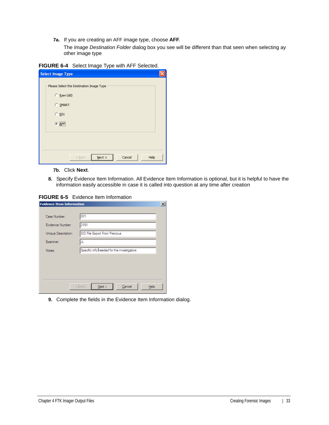**7a.** If you are creating an AFF image type, choose **AFF**.

The *Image Destination Folder* dialog box you see will be different than that seen when selecting ay other image type

| FIGURE 6-4 Select Image Type with AFF Selected. |  |
|-------------------------------------------------|--|
|                                                 |  |

| <b>Select Image Type</b>                 |
|------------------------------------------|
| Please Select the Destination Image Type |
| Raw (dd)<br>О.                           |
| C SMART                                  |
| $C$ E01                                  |
| $C$ $\overline{AFF}$                     |
|                                          |
|                                          |
|                                          |
| Cancel<br>$N$ ext ><br>Help<br>$<$ Back  |

**7b.** Click **Next**.

**8.** Specify Evidence Item Information. All Evidence Item Information is optional, but it is helpful to have the information easily accessible in case it is called into question at any time after creation

**FIGURE 6-5** Evidence Item Information

| <b>Evidence Item Information</b> |                                            | $\boldsymbol{\mathsf{x}}$ |
|----------------------------------|--------------------------------------------|---------------------------|
|                                  |                                            |                           |
| Case Number:                     | 001                                        |                           |
| Evidence Number:                 | 2191                                       |                           |
| Unique Description:              | SID File Export From Precious              |                           |
| Examiner:                        | JL                                         |                           |
| Notes:                           | Specific info needed for the investigators |                           |
|                                  |                                            |                           |
|                                  |                                            |                           |
|                                  |                                            |                           |
|                                  | Next<br>Cancel<br>< Back<br>Help           |                           |

**9.** Complete the fields in the Evidence Item Information dialog.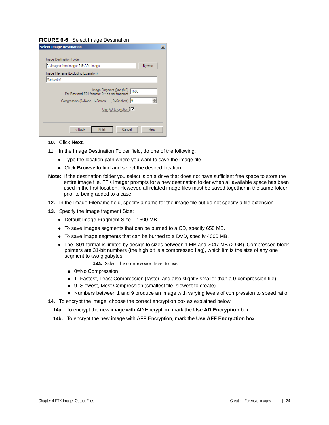#### **FIGURE 6-6** Select Image Destination

| <b>Select Image Destination</b>                                                  |  |
|----------------------------------------------------------------------------------|--|
|                                                                                  |  |
| Image Destination Folder                                                         |  |
| C:\Images from Imager 2.9\AD1 Image<br><b>Browse</b>                             |  |
| Image Filename (Excluding Extension)                                             |  |
| Mantooth1                                                                        |  |
|                                                                                  |  |
| Image Fragment Size (MB)<br>1500<br>For Raw and E01 formats: 0 = do not fragment |  |
| 싂                                                                                |  |
| Compression (0=None, 1=Fastest, , 9=Smallest) 6                                  |  |
| <br>Use AD Encryption   V                                                        |  |
|                                                                                  |  |
|                                                                                  |  |
| < Back<br>Finish<br>Cancel<br>Help                                               |  |
|                                                                                  |  |

#### **10.** Click **Next**.

- **11.** In the Image Destination Folder field, do one of the following:
	- Type the location path where you want to save the image file.
	- Click **Browse** to find and select the desired location.
- **Note:** If the destination folder you select is on a drive that does not have sufficient free space to store the entire image file, FTK Imager prompts for a new destination folder when all available space has been used in the first location. However, all related image files must be saved together in the same folder prior to being added to a case.
- **12.** In the Image Filename field, specify a name for the image file but do not specify a file extension.
- **13.** Specify the Image fragment Size:
	- Default Image Fragment Size = 1500 MB
	- To save images segments that can be burned to a CD, specify 650 MB.
	- To save image segments that can be burned to a DVD, specify 4000 MB.
	- The .S01 format is limited by design to sizes between 1 MB and 2047 MB (2 GB). Compressed block pointers are 31-bit numbers (the high bit is a compressed flag), which limits the size of any one segment to two gigabytes.

**13a.** Select the compression level to use.

- 0=No Compression
- 1=Fastest, Least Compression (faster, and also slightly smaller than a 0-compression file)
- 9=Slowest, Most Compression (smallest file, slowest to create).
- Numbers between 1 and 9 produce an image with varying levels of compression to speed ratio.
- **14.** To encrypt the image, choose the correct encryption box as explained below:
	- **14a.** To encrypt the new image with AD Encryption, mark the **Use AD Encryption** box.
	- **14b.** To encrypt the new image with AFF Encryption, mark the **Use AFF Encryption** box.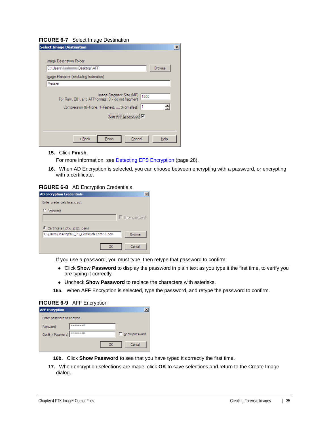#### **FIGURE 6-7** Select Image Destination

| <b>Select Image Destination</b>                       | $\boldsymbol{\mathsf{x}}$ |
|-------------------------------------------------------|---------------------------|
|                                                       |                           |
| Image Destination Folder                              |                           |
| C:\Users\\iltnimimmmm\Desktop\AFF<br><b>Browse</b>    |                           |
| Image Filename (Excluding Extension)                  |                           |
| Messier                                               |                           |
| Image Fragment Size (MB) 1500                         |                           |
| For Raw, E01, and AFF formats: 0 = do not fragment    |                           |
| 싑<br>Compression (0=None, 1=Fastest, , 9=Smallest)  1 |                           |
| Use AFF Encryption V                                  |                           |
|                                                       |                           |
|                                                       |                           |
| < Back<br>Finish<br>Cancel<br>Help                    |                           |

**15.** Click **Finish**.

For more information, see [Detecting EFS Encryption \(page 28\).](#page-27-3)

**16.** When AD Encryption is selected, you can choose between encrypting with a password, or encrypting with a certificate.

#### **FIGURE 6-8** AD Encryption Credentials

| <b>AD Encryption Credentials</b>                              |
|---------------------------------------------------------------|
| Enter credentials to encrypt                                  |
| C Password                                                    |
| $\Gamma$ Show password                                        |
| C Certificate (.pfx, .p12, .pem)                              |
| C:\Users\Desktop\MS_73_Certs\Lab-Enter-1.pem<br><b>Browse</b> |
| Cancel<br>OK                                                  |

If you use a password, you must type, then retype that password to confirm.

- Click **Show Password** to display the password in plain text as you type it the first time, to verify you are typing it correctly.
- Uncheck **Show Password** to replace the characters with asterisks.
- **16a.** When AFF Encryption is selected, type the password, and retype the password to confirm.

### **FIGURE 6-9** AFF Encryption

| <b>AFF Encryption</b>     |          |  |               |
|---------------------------|----------|--|---------------|
| Enter password to encrypt |          |  |               |
| Password                  | ******** |  |               |
| Confirm Password          | ******** |  | Show password |
|                           |          |  | Cancel        |

- **16b.** Click **Show Password** to see that you have typed it correctly the first time.
- **17.** When encryption selections are made, click **OK** to save selections and return to the Create Image dialog.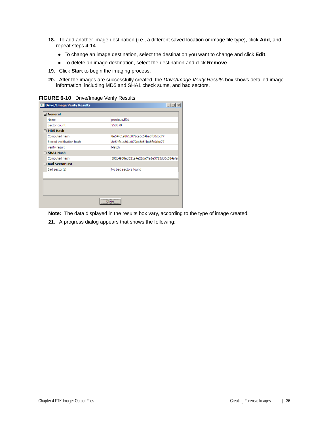- **18.** To add another image destination (i.e., a different saved location or image file type), click **Add**, and repeat steps 4-14.
	- To change an image destination, select the destination you want to change and click **Edit**.
	- To delete an image destination, select the destination and click **Remove**.
- **19.** Click **Start** to begin the imaging process.
- **20.** After the images are successfully created, the *Drive/Image Verify Results* box shows detailed image information, including MD5 and SHA1 check sums, and bad sectors.

**FIGURE 6-10** Drive/Image Verify Results

|  | 日 General                |                                         |  |  |
|--|--------------------------|-----------------------------------------|--|--|
|  | Name                     | precious.E01                            |  |  |
|  | Sector count             | 250879                                  |  |  |
|  | F MD5 Hash               |                                         |  |  |
|  | Computed hash            | 8e54fc1a861c072ca5c54ba8fb0cbc77        |  |  |
|  | Stored verification hash | 8e54fc1a861c072ca5c54ba8fb0cbc77        |  |  |
|  | Verify result            | Match                                   |  |  |
|  | □ SHA1 Hash              |                                         |  |  |
|  | Computed hash            | 582c4968ed321a4e22da7fa1e5723dd0c684afa |  |  |
|  | <b>□ Bad Sector List</b> |                                         |  |  |
|  | Bad sector(s)            | No bad sectors found                    |  |  |
|  |                          |                                         |  |  |
|  |                          |                                         |  |  |
|  |                          |                                         |  |  |
|  |                          |                                         |  |  |
|  |                          |                                         |  |  |

**Note:** The data displayed in the results box vary, according to the type of image created.

**21.** A progress dialog appears that shows the following: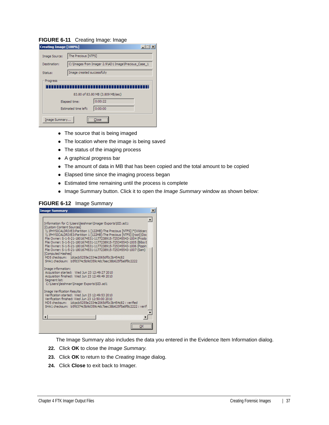#### **FIGURE 6-11** Creating Image: Image

| Creating Image [100%]            |                            |                                                       |  |  |
|----------------------------------|----------------------------|-------------------------------------------------------|--|--|
| Image Source:                    | The Precious [NTFS]        |                                                       |  |  |
| Destination:                     |                            | C: \Images from Imager 2.9\AD1 Image \Precious_Case_1 |  |  |
| Status:                          | Image created successfully |                                                       |  |  |
| Progress                         |                            |                                                       |  |  |
|                                  |                            |                                                       |  |  |
| 83.80 of 83.80 MB (3.809 MB/sec) |                            |                                                       |  |  |
|                                  | Elapsed time:              | 0:00:22                                               |  |  |
| 0:00:00<br>Estimated time left:  |                            |                                                       |  |  |
| Image Summary<br>nse             |                            |                                                       |  |  |

- The source that is being imaged
- The location where the image is being saved
- The status of the imaging process
- A graphical progress bar
- The amount of data in MB that has been copied and the total amount to be copied
- Elapsed time since the imaging process began
- Estimated time remaining until the process is complete
- Image Summary button. Click it to open the *Image Summary* window as shown below:

 $\overline{\phantom{a}}$ 

#### **FIGURE 6-12** Image Summary

| <b>Image Summary</b>                                                                                                                                                                                                                                                                                                                                                                                                                                                                                                                                                                                                                                                | $\times$ |
|---------------------------------------------------------------------------------------------------------------------------------------------------------------------------------------------------------------------------------------------------------------------------------------------------------------------------------------------------------------------------------------------------------------------------------------------------------------------------------------------------------------------------------------------------------------------------------------------------------------------------------------------------------------------|----------|
| Information for C:\Users\jleishman\Imager Exports\SID.ad1:<br>[Custom Content Sources]<br>\\,\PHYSICALDRIVE3:Partition 1 [122MB]:The Precious [NTFS]   * (Wildcard<br>\\.\PHYSICALDRIVE3:Partition 1 [122MB]:The Precious [NTFS]   [root]  Doc<br>File Owner: S-1-5-21-1801674531-1177238915-725345543-1004 (Frodo<br>File Owner: S-1-5-21-1801674531-1177238915-725345543-1005 (Bilbo E<br>File Owner: S-1-5-21-1801674531-1177238915-725345543-1006 (Pippin)<br>File Owner: S-1-5-21-1801674531-1177238915-725345543-1007 (Sam)<br>[Computed Hashes]<br>MD5 checksum: 1dcacb5255e2334e2065df0c3b454c82<br>SHA1 checksum: b5fd374c5b9d359c4dc7aec38b625f5a8f8c2222 |          |
| Image information:<br>Acquisition started: Wed Jun 23 12:49:27 2010<br>Acquisition finished: Wed Jun 23 12:49:49 2010<br>Seament list:<br>C:\Users\jleishman\Imager Exports\SID.ad1                                                                                                                                                                                                                                                                                                                                                                                                                                                                                 |          |
| Image Verification Results:<br>Verification started: Wed Jun 23 12:49:53 2010<br>Verification finished: Wed Jun 23 12:50:00 2010<br>MD5 checksum: 1dcacb5255e2334e2065df0c3b454c82 : verified<br>SHA1 checksum: b5fd374c5b9d359c4dc7aec38b625f5a8f8c2222 : verif                                                                                                                                                                                                                                                                                                                                                                                                    |          |
|                                                                                                                                                                                                                                                                                                                                                                                                                                                                                                                                                                                                                                                                     |          |
|                                                                                                                                                                                                                                                                                                                                                                                                                                                                                                                                                                                                                                                                     |          |

The Image Summary also includes the data you entered in the Evidence Item Information dialog.

- **22.** Click **OK** to close the *Image Summary*.
- **23.** Click **OK** to return to the *Creating Image* dialog.
- **24.** Click **Close** to exit back to Imager.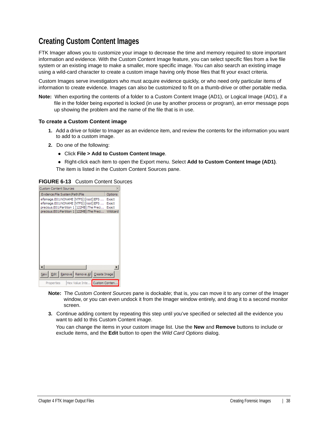### <span id="page-37-1"></span><span id="page-37-0"></span>**Creating Custom Content Images**

FTK Imager allows you to customize your image to decrease the time and memory required to store important information and evidence. With the Custom Content Image feature, you can select specific files from a live file system or an existing image to make a smaller, more specific image. You can also search an existing image using a wild-card character to create a custom image having only those files that fit your exact criteria.

Custom Images serve investigators who must acquire evidence quickly, or who need only particular items of information to create evidence. Images can also be customized to fit on a thumb-drive or other portable media.

**Note:** When exporting the contents of a folder to a Custom Content Image (AD1), or Logical Image (AD1), if a file in the folder being exported is locked (in use by another process or program), an error message pops up showing the problem and the name of the file that is in use.

#### **To create a Custom Content image**

- **1.** Add a drive or folder to Imager as an evidence item, and review the contents for the information you want to add to a custom image.
- **2.** Do one of the following:
	- Click **File > Add to Custom Content Image**.
	- Right-click each item to open the Export menu. Select **Add to Custom Content Image (AD1)**.

The item is listed in the Custom Content Sources pane.

**FIGURE 6-13** Custom Content Sources

| <b>Custom Content Sources</b>                    |              |
|--------------------------------------------------|--------------|
| Evidence: File System   Path   File              | Options      |
| efsimage.E01:NONAME [NTFS]  [root]  EFS          | Exact        |
| efsimage.E01:NONAME [NTFS]][root] EFS            | <b>Exact</b> |
| precious.E01:Partition 1 [122MB]:The Preci       | Exact        |
| precious.E01:Partition 1 [122MB]:The Preci       | Wildcard     |
|                                                  |              |
|                                                  |              |
|                                                  |              |
|                                                  |              |
|                                                  |              |
|                                                  |              |
|                                                  |              |
|                                                  |              |
|                                                  |              |
|                                                  |              |
|                                                  |              |
|                                                  |              |
| Edit   Remove   Remove All   Create Image<br>New |              |
| Hex Value Inte Custom Conten<br>Properties       |              |

- **Note:** The *Custom Content Sources* pane is dockable; that is, you can move it to any corner of the Imager window, or you can even undock it from the Imager window entirely, and drag it to a second monitor screen.
- **3.** Continue adding content by repeating this step until you've specified or selected all the evidence you want to add to this Custom Content image.

You can change the items in your custom image list. Use the **New** and **Remove** buttons to include or exclude items, and the **Edit** button to open the *Wild Card Options* dialog.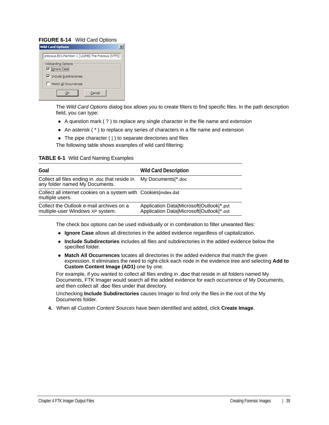### **FIGURE 6-14** Wild Card Options

| <b>Wild Card Options</b>                             |
|------------------------------------------------------|
| precious.E01:Partition 1 [122MB]:The Precious [NTFS] |
| Wildcarding Options<br><b>□</b> Ignore Case          |
| $\triangledown$ Include Subdirectories               |
| Match All Occurrences                                |
| Cancel                                               |

The *Wild Card Options* dialog box allows you to create filters to find specific files. In the path description field, you can type:

- A question mark ( ? ) to replace any single character in the file name and extension
- An asterisk ( \* ) to replace any series of characters in a file name and extension
- The pipe character ( | ) to separate directories and files

The following table shows examples of wild card filtering:

#### **TABLE 6-1** Wild Card Naming Examples

| Goal                                                                                | <b>Wild Card Description</b>                                                         |
|-------------------------------------------------------------------------------------|--------------------------------------------------------------------------------------|
| Collect all files ending in .doc that reside in<br>any folder named My Documents.   | My Documents  *.doc                                                                  |
| Collect all internet cookies on a system with Cookies lindex.dat<br>multiple users. |                                                                                      |
| Collect the Outlook e-mail archives on a<br>multiple-user Windows XP system.        | Application Data Microsoft Outlook *.pst<br>Application Data Microsoft Outlook *.ost |

The check box options can be used individually or in combination to filter unwanted files:

- **Ignore Case** allows all directories in the added evidence regardless of capitalization.
- **Include Subdirectories** includes all files and subdirectories in the added evidence below the specified folder.
- **Match All Occurrences** locates all directories in the added evidence that match the given expression. It eliminates the need to right-click each node in the evidence tree and selecting **Add to Custom Content Image (AD1)** one by one.

For example, if you wanted to collect all files ending in .doc that reside in all folders named My Documents, FTK Imager would search all the added evidence for each occurrence of My Documents, and then collect all .doc files under that directory.

Unchecking **Include Subdirectories** causes Imager to find only the files in the root of the My Documents folder.

**4.** When all *Custom Content Sources* have been identified and added, click **Create Image**.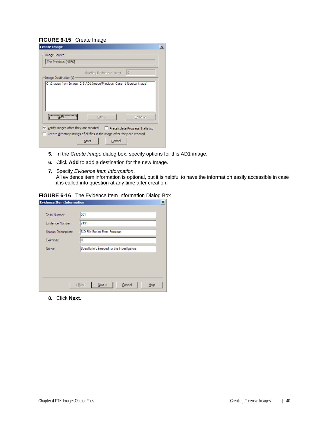#### **FIGURE 6-15** Create Image

| <b>Create Image</b>                                                                           | $\vert x \vert$ |
|-----------------------------------------------------------------------------------------------|-----------------|
| Image Source                                                                                  |                 |
| The Precious [NTFS]                                                                           |                 |
| $\mathbf{10}$<br>Starting Evidence Number:                                                    |                 |
| Image Destination(s)                                                                          |                 |
|                                                                                               |                 |
| Edit<br>Remove<br>Add.                                                                        |                 |
| $\triangledown$ Verify images after they are created<br>Precalculate Progress Statistics      |                 |
| Create directory listings of all files in the image after they are created<br>Cancel<br>Start |                 |

- **5.** In the *Create Image* dialog box, specify options for this AD1 image.
- **6.** Click **Add** to add a destination for the new Image.
- **7.** Specify *Evidence Item Information*. All evidence item information is optional, but it is helpful to have the information easily accessible in case it is called into question at any time after creation.

#### **FIGURE 6-16** The Evidence Item Information Dialog Box

| <b>Evidence Item Information</b> |                                            |
|----------------------------------|--------------------------------------------|
| Case Number:                     | 001                                        |
| Evidence Number:                 | 2191                                       |
| Unique Description:              | SID File Export From Precious              |
| Examiner:                        | JL                                         |
| Notes:                           | Specific info needed for the investigators |
|                                  |                                            |
|                                  |                                            |
|                                  |                                            |
|                                  | Cancel<br>< Back<br>Next<br>Help           |

**8.** Click **Next**.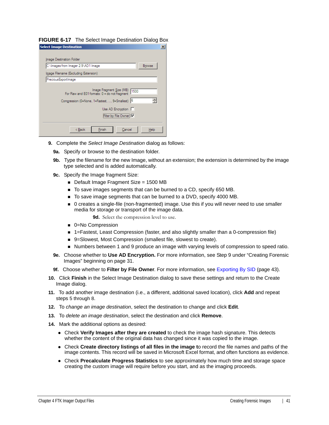#### **FIGURE 6-17** The Select Image Destination Dialog Box

| <b>Select Image Destination</b>                                                                                                                                                         | $\boldsymbol{\mathsf{x}}$ |
|-----------------------------------------------------------------------------------------------------------------------------------------------------------------------------------------|---------------------------|
|                                                                                                                                                                                         |                           |
| Image Destination Folder                                                                                                                                                                |                           |
| Browse<br>C:\Images from Imager 2.9\AD1 Image                                                                                                                                           |                           |
| Image Filename (Excluding Extension)                                                                                                                                                    |                           |
| Precious Export Image                                                                                                                                                                   |                           |
| Image Fragment Size (MB)<br>1500<br>For Raw and E01 formats: 0 = do not fragment<br>Compression (0=None, 1=Fastest, , 9=Smallest) 6<br>싂<br>Use AD Encryption<br>Filter by File Owner M |                           |
| < Back<br>Finish<br>Cancel<br>Help                                                                                                                                                      |                           |

- **9.** Complete the *Select Image Destination* dialog as follows:
	- **9a.** Specify or browse to the destination folder.
	- **9b.** Type the filename for the new Image, without an extension; the extension is determined by the image type selected and is added automatically.
	- **9c.** Specify the Image fragment Size:
		- Default Image Fragment Size = 1500 MB
		- To save images segments that can be burned to a CD, specify 650 MB.
		- To save image segments that can be burned to a DVD, specify 4000 MB.
		- 0 creates a single-file (non-fragmented) image. Use this if you will never need to use smaller media for storage or transport of the image data.

**9d.** Select the compression level to use.

- 0=No Compression
- 1=Fastest, Least Compression (faster, and also slightly smaller than a 0-compression file)
- 9=Slowest, Most Compression (smallest file, slowest to create).
- Numbers between 1 and 9 produce an image with varying levels of compression to speed ratio.
- **9e.** Choose whether to **Use AD Encryption.** For more information, see Step 9 under ["Creating Forensic](#page-30-1)  [Images" beginning on page 31.](#page-30-1)
- **9f.** Choose whether to **Filter by File Owner**. For more information, see [Exporting By SID \(page 43\).](#page-42-0)
- **10.** Click **Finish** in the Select Image Destination dialog to save these settings and return to the Create Image dialog.
- **11.** To add another image destination (i.e., a different, additional saved location), click **Add** and repeat steps 5 through 8.
- **12.** To *change an image destination*, select the destination to change and click **Edit**.
- **13.** To *delete an image destination*, select the destination and click **Remove**.
- **14.** Mark the additional options as desired:
	- Check **Verify Images after they are created** to check the image hash signature. This detects whether the content of the original data has changed since it was copied to the image.
	- Check **Create directory listings of all files in the image t**o record the file names and paths of the image contents. This record will be saved in Microsoft Excel format, and often functions as evidence.
	- Check **Precalculate Progress Statistics** to see approximately how much time and storage space creating the custom image will require before you start, and as the imaging proceeds.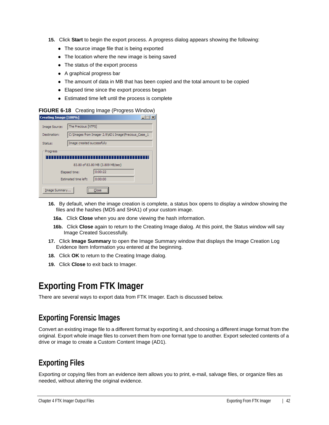- **15.** Click **Start** to begin the export process. A progress dialog appears showing the following:
	- The source image file that is being exported
	- The location where the new image is being saved
	- The status of the export process
	- A graphical progress bar
	- The amount of data in MB that has been copied and the total amount to be copied
	- Elapsed time since the export process began
	- Estimated time left until the process is complete

#### **FIGURE 6-18** Creating Image (Progress Window)

| Creating Image [100%]           |                            |                                                       |  |
|---------------------------------|----------------------------|-------------------------------------------------------|--|
| Image Source:                   | The Precious [NTFS]        |                                                       |  |
| Destination:                    |                            | C: \Images from Imager 2.9\AD1 Image \Precious_Case_1 |  |
| Status:                         | Image created successfully |                                                       |  |
| Progress                        |                            |                                                       |  |
|                                 |                            |                                                       |  |
|                                 |                            | 83.80 of 83.80 MB (3.809 MB/sec)                      |  |
|                                 | Elapsed time:              | 0:00:22                                               |  |
| Estimated time left:<br>0:00:00 |                            |                                                       |  |
| Image Summary                   |                            | <br>œ                                                 |  |

- **16.** By default, when the image creation is complete, a status box opens to display a window showing the files and the hashes (MD5 and SHA1) of your custom image.
	- **16a.** Click **Close** when you are done viewing the hash information.
	- **16b.** Click **Close** again to return to the Creating Image dialog. At this point, the Status window will say Image Created Successfully.
- **17.** Click **Image Summary** to open the Image Summary window that displays the Image Creation Log Evidence Item Information you entered at the beginning.
- **18.** Click **OK** to return to the Creating Image dialog.
- **19.** Click **Close** to exit back to Imager.

## <span id="page-41-0"></span>**Exporting From FTK Imager**

There are several ways to export data from FTK Imager. Each is discussed below.

### <span id="page-41-1"></span>**Exporting Forensic Images**

Convert an existing image file to a different format by exporting it, and choosing a different image format from the original. Export whole image files to convert them from one format type to another. Export selected contents of a drive or image to create a Custom Content Image (AD1).

### <span id="page-41-2"></span>**Exporting Files**

Exporting or copying files from an evidence item allows you to print, e-mail, salvage files, or organize files as needed, without altering the original evidence.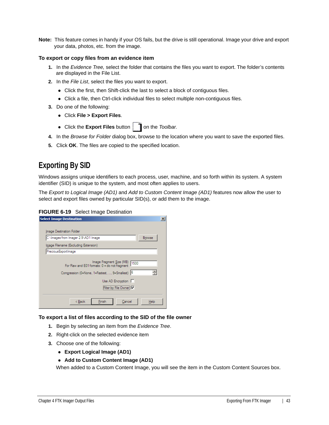**Note:** This feature comes in handy if your OS fails, but the drive is still operational. Image your drive and export your data, photos, etc. from the image.

#### **To export or copy files from an evidence item**

- **1.** In the *Evidence Tree,* select the folder that contains the files you want to export. The folder's contents are displayed in the File List.
- **2.** In the *File List*, select the files you want to export.
	- Click the first, then Shift-click the last to select a block of contiguous files.
	- Click a file, then Ctrl-click individual files to select multiple non-contiguous files.
- **3.** Do one of the following:
	- Click **File > Export Files**.
	- Click the **Export Files** button | 1 on the *Toolbar*.
- **4.** In the *Browse for Folder* dialog box, browse to the location where you want to save the exported files.
- **5.** Click **OK**. The files are copied to the specified location.

### <span id="page-42-0"></span>**Exporting By SID**

Windows assigns unique identifiers to each process, user, machine, and so forth within its system. A system identifier (SID) is unique to the system, and most often applies to users.

The *Export to Logical Image (AD1)* and *Add to Custom Content Image (AD1)* features now allow the user to select and export files owned by particular SID(s), or add them to the image.

#### **FIGURE 6-19** Select Image Destination

| <b>Select Image Destination</b>                                                                                                       | × |
|---------------------------------------------------------------------------------------------------------------------------------------|---|
|                                                                                                                                       |   |
| Image Destination Folder                                                                                                              |   |
| C:\Images from Imager 2.9\AD1 Image<br>Browse                                                                                         |   |
| Image Filename (Excluding Extension)                                                                                                  |   |
| Precious Export Image                                                                                                                 |   |
| Image Fragment Size (MB) 1500<br>For Raw and E01 formats: 0 = do not fragment<br>싂<br>Compression (0=None, 1=Fastest, , 9=Smallest) 6 |   |
| Use AD Encryption                                                                                                                     |   |
| Filter by File Owner: IV                                                                                                              |   |
| Finish<br>< Back<br>Cancel<br>Help                                                                                                    |   |

#### **To export a list of files according to the SID of the file owner**

- **1.** Begin by selecting an item from the *Evidence Tree*.
- **2.** Right-click on the selected evidence item
- **3.** Choose one of the following:
	- **Export Logical Image (AD1)**

#### **Add to Custom Content Image (AD1)**

When added to a Custom Content Image, you will see the item in the Custom Content Sources box.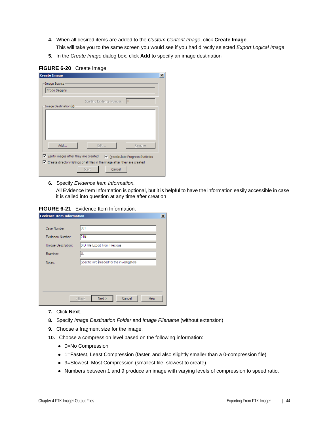- **4.** When all desired items are added to the *Custom Content Image*, click **Create Image**.
	- This will take you to the same screen you would see if you had directly selected *Export Logical Image*.
- **5.** In the *Create Image* dialog box, click **Add** to specify an image destination

### **FIGURE 6-20** Create Image.

| Frodo Baggins        |                           |              |
|----------------------|---------------------------|--------------|
|                      | Starting Evidence Number: | $\mathsf{I}$ |
| Image Destination(s) |                           |              |
|                      |                           |              |
|                      |                           |              |
|                      |                           |              |
|                      |                           |              |
| Add                  | Edit                      | Remove       |

**6.** Specify *Evidence Item Information.*

All Evidence Item Information is optional, but it is helpful to have the information easily accessible in case it is called into question at any time after creation

#### **FIGURE 6-21** Evidence Item Information.

| <b>Evidence Item Information</b> |                                            | $\vert x \vert$ |
|----------------------------------|--------------------------------------------|-----------------|
|                                  |                                            |                 |
| Case Number:                     | 001                                        |                 |
| Evidence Number:                 | 2191                                       |                 |
| Unique Description:              | SID File Export From Precious              |                 |
| Examiner:                        | JL                                         |                 |
| Notes:                           | Specific info needed for the investigators |                 |
|                                  |                                            |                 |
|                                  |                                            |                 |
|                                  |                                            |                 |
|                                  |                                            |                 |
|                                  | Next<br>Cancel<br>< Back<br>Help           |                 |

- **7.** Click **Next**.
- **8.** Specify *Image Destination Folder* and *Image Filename* (without extension)
- **9.** Choose a fragment size for the image.
- **10.** Choose a compression level based on the following information:
	- 0=No Compression
	- 1=Fastest, Least Compression (faster, and also slightly smaller than a 0-compression file)
	- 9=Slowest, Most Compression (smallest file, slowest to create).
	- Numbers between 1 and 9 produce an image with varying levels of compression to speed ratio.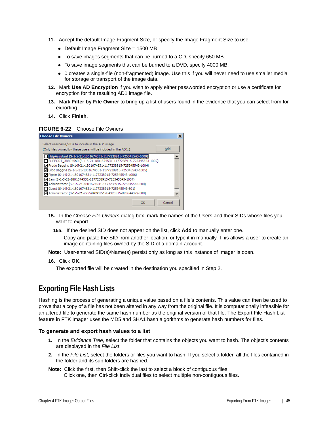- **11.** Accept the default Image Fragment Size, or specify the Image Fragment Size to use.
	- Default Image Fragment Size = 1500 MB
	- To save images segments that can be burned to a CD, specify 650 MB.
	- To save image segments that can be burned to a DVD, specify 4000 MB.
	- 0 creates a single-file (non-fragmented) image. Use this if you will never need to use smaller media for storage or transport of the image data.
- **12.** Mark **Use AD Encryption** if you wish to apply either passworded encryption or use a certificate for encryption for the resulting AD1 image file.
- **13.** Mark **Filter by File Owner** to bring up a list of users found in the evidence that you can select from for exporting.
- **14.** Click **Finish**.

#### **FIGURE 6-22** Choose File Owners

| <b>Choose File Owners</b>                                                                                                                                                                                                                                                                                                                                                                                                                                                                                                                                                      |        |  |
|--------------------------------------------------------------------------------------------------------------------------------------------------------------------------------------------------------------------------------------------------------------------------------------------------------------------------------------------------------------------------------------------------------------------------------------------------------------------------------------------------------------------------------------------------------------------------------|--------|--|
| Select username/SIDs to include in the AD1 image<br>(Only files owned by these users will be included in the AD1.)                                                                                                                                                                                                                                                                                                                                                                                                                                                             | Add    |  |
| HelpAssistant (S-1-5-21-1801674531-1177238915-725345543-1000)<br>SUPPORT_388945a0 (S-1-5-21-1801674531-1177238915-725345543-1002)<br>Trodo Baggins (S-1-5-21-1801674531-1177238915-725345543-1004)<br>Ø Bilbo Baggins (S-1-5-21-1801674531-1177238915-725345543-1005)<br>Pippin (S-1-5-21-1801674531-1177238915-725345543-1006)<br>Sam (S-1-5-21-1801674531-1177238915-725345543-1007)<br>Administrator (S-1-5-21-1801674531-1177238915-725345543-500)<br>Guest (S-1-5-21-1801674531-1177238915-725345543-501)<br>Administrator (S-1-5-21-2255940912-1764320575-828644372-500) |        |  |
| OK                                                                                                                                                                                                                                                                                                                                                                                                                                                                                                                                                                             | Cancel |  |

- **15.** In the *Choose File Owners* dialog box, mark the names of the Users and their SIDs whose files you want to export.
	- **15a.** If the desired SID does not appear on the list, click **Add** to manually enter one.

Copy and paste the SID from another location, or type it in manually. This allows a user to create an image containing files owned by the SID of a domain account.

- **Note:** User-entered SID(s)/Name(s) persist only as long as this instance of Imager is open.
- **16.** Click **OK**.

The exported file will be created in the destination you specified in Step 2.

### <span id="page-44-0"></span>**Exporting File Hash Lists**

Hashing is the process of generating a unique value based on a file's contents. This value can then be used to prove that a copy of a file has not been altered in any way from the original file. It is computationally infeasible for an altered file to generate the same hash number as the original version of that file. The Export File Hash List feature in FTK Imager uses the MD5 and SHA1 hash algorithms to generate hash numbers for files.

#### **To generate and export hash values to a list**

- **1.** In the *Evidence Tree*, select the folder that contains the objects you want to hash. The object's contents are displayed in the *File List*.
- **2.** In the *File List*, select the folders or files you want to hash. If you select a folder, all the files contained in the folder and its sub folders are hashed.
- **Note:** Click the first, then Shift-click the last to select a block of contiguous files. Click one, then Ctrl-click individual files to select multiple non-contiguous files.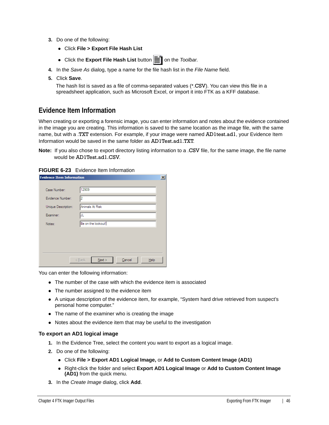- **3.** Do one of the following:
	- Click **File > Export File Hash List**
	- Click the **Export File Hash List** button  $\equiv$  on the *Toolbar*.
- **4.** In the *Save As* dialog, type a name for the file hash list in the *File Name* field.
- **5.** Click **Save**.

The hash list is saved as a file of comma-separated values (\*.CSV). You can view this file in a spreadsheet application, such as Microsoft Excel, or import it into FTK as a KFF database.

### <span id="page-45-0"></span>**Evidence Item Information**

When creating or exporting a forensic image, you can enter information and notes about the evidence contained in the image you are creating. This information is saved to the same location as the image file, with the same name, but with a .TXT extension. For example, if your image were named AD1test.ad1, your Evidence Item Information would be saved in the same folder as AD1Test.ad1.TXT.

**Note:** If you also chose to export directory listing information to a .CSV file, for the same image, the file name would be AD1Test.ad1.CSV.

**FIGURE 6-23** Evidence Item Information

| <b>Evidence Item Information</b> |                                       | $\vert x \vert$ |
|----------------------------------|---------------------------------------|-----------------|
| Case Number:                     | 12909                                 |                 |
| Evidence Number:                 | 12                                    |                 |
| Unique Description:              | Animals At Risk                       |                 |
| Examiner:                        | JL                                    |                 |
| Notes:                           | Be on the lookout!                    |                 |
|                                  |                                       |                 |
|                                  |                                       |                 |
|                                  |                                       |                 |
|                                  | Cancel<br>< Back<br>$N$ ext ><br>Help |                 |

You can enter the following information:

- The number of the case with which the evidence item is associated
- The number assigned to the evidence item
- A unique description of the evidence item, for example, "System hard drive retrieved from suspect's personal home computer."
- The name of the examiner who is creating the image
- Notes about the evidence item that may be useful to the investigation

### **To export an AD1 logical image**

- **1.** In the Evidence Tree, select the content you want to export as a logical image.
- **2.** Do one of the following:
	- Click **File > Export AD1 Logical Image,** or **Add to Custom Content Image (AD1)**
	- Right-click the folder and select **Export AD1 Logical Image** or **Add to Custom Content Image (AD1)** from the quick menu.
- **3.** In the *Create Image* dialog, click **Add**.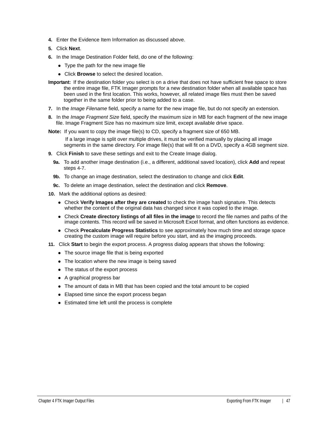- **4.** Enter the Evidence Item Information as discussed above.
- **5.** Click **Next**.
- **6.** In the Image Destination Folder field, do one of the following:
	- Type the path for the new image file
	- Click **Browse** to select the desired location.
- **Important:** If the destination folder you select is on a drive that does not have sufficient free space to store the entire image file, FTK Imager prompts for a new destination folder when all available space has been used in the first location. This works, however, all related image files must then be saved together in the same folder prior to being added to a case.
- **7.** In the *Image Filename* field, specify a name for the new image file, but do not specify an extension.
- **8.** In the *Image Fragment Size* field, specify the maximum size in MB for each fragment of the new image file. Image Fragment Size has no maximum size limit, except available drive space.
- **Note:** If you want to copy the image file(s) to CD, specify a fragment size of 650 MB.
	- If a large image is split over multiple drives, it must be verified manually by placing all image segments in the same directory. For image file(s) that will fit on a DVD, specify a 4GB segment size.
- **9.** Click **Finish** to save these settings and exit to the Create Image dialog.
	- **9a.** To add another image destination (i.e., a different, additional saved location), click **Add** and repeat steps 4-7.
	- **9b.** To change an image destination, select the destination to change and click **Edit**.
	- **9c.** To delete an image destination, select the destination and click **Remove**.
- **10.** Mark the additional options as desired:
	- Check **Verify Images after they are created** to check the image hash signature. This detects whether the content of the original data has changed since it was copied to the image.
	- Check **Create directory listings of all files in the image** to record the file names and paths of the image contents. This record will be saved in Microsoft Excel format, and often functions as evidence.
	- Check **Precalculate Progress Statistics** to see approximately how much time and storage space creating the custom image will require before you start, and as the imaging proceeds.
- **11.** Click **Start** to begin the export process. A progress dialog appears that shows the following:
	- The source image file that is being exported
	- The location where the new image is being saved
	- The status of the export process
	- A graphical progress bar
	- The amount of data in MB that has been copied and the total amount to be copied
	- Elapsed time since the export process began
	- Estimated time left until the process is complete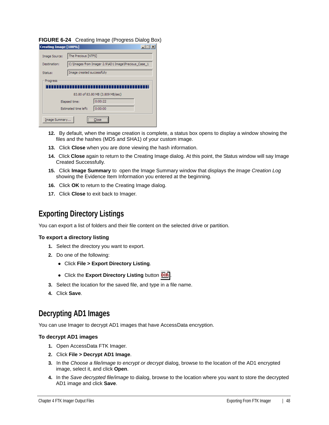**FIGURE 6-24** Creating Image (Progress Dialog Box)

| Creating Image [100%] |                            |                                                       |  |
|-----------------------|----------------------------|-------------------------------------------------------|--|
| Image Source:         | The Precious [NTFS]        |                                                       |  |
| Destination:          |                            | C: \Images from Imager 2.9\AD1 Image \Precious_Case_1 |  |
| Status:               | Image created successfully |                                                       |  |
| Progress              |                            |                                                       |  |
|                       |                            |                                                       |  |
|                       |                            | 83.80 of 83.80 MB (3.809 MB/sec)                      |  |
|                       | Elapsed time:              | 0:00:22                                               |  |
|                       | Estimated time left:       | 0:00:00                                               |  |
| Image Summary         |                            | lose                                                  |  |

- **12.** By default, when the image creation is complete, a status box opens to display a window showing the files and the hashes (MD5 and SHA1) of your custom image.
- **13.** Click **Close** when you are done viewing the hash information.
- **14.** Click **Close** again to return to the Creating Image dialog. At this point, the Status window will say Image Created Successfully.
- **15.** Click **Image Summary** to open the Image Summary window that displays the *Image Creation Log* showing the Evidence Item Information you entered at the beginning.
- **16.** Click **OK** to return to the Creating Image dialog.
- **17.** Click **Close** to exit back to Imager.

### <span id="page-47-0"></span>**Exporting Directory Listings**

You can export a list of folders and their file content on the selected drive or partition.

#### **To export a directory listing**

- **1.** Select the directory you want to export.
- **2.** Do one of the following:
	- Click **File > Export Directory Listing**.
	- **Click the Export Directory Listing button DIR**
- **3.** Select the location for the saved file, and type in a file name.
- **4.** Click **Save**.

### <span id="page-47-1"></span>**Decrypting AD1 Images**

You can use Imager to decrypt AD1 images that have AccessData encryption.

#### **To decrypt AD1 images**

- **1.** Open AccessData FTK Imager.
- **2.** Click **File > Decrypt AD1 Image**.
- **3.** In the *Choose a file/image to encrypt or decrypt* dialog, browse to the location of the AD1 encrypted image, select it, and click **Open**.
- **4.** In the *Save decrypted file/image* to dialog, browse to the location where you want to store the decrypted AD1 image and click **Save**.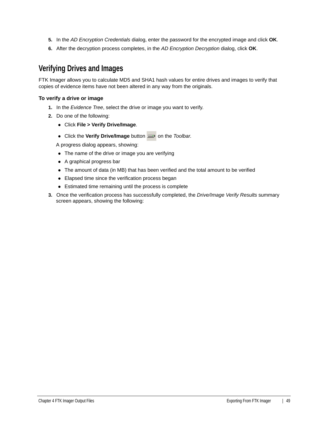- **5.** In the *AD Encryption Credentials* dialog, enter the password for the encrypted image and click **OK**.
- **6.** After the decryption process completes, in the *AD Encryption Decryption* dialog, click **OK**.

### <span id="page-48-0"></span>**Verifying Drives and Images**

FTK Imager allows you to calculate MD5 and SHA1 hash values for entire drives and images to verify that copies of evidence items have not been altered in any way from the originals.

#### **To verify a drive or image**

- **1.** In the *Evidence Tree*, select the drive or image you want to verify.
- **2.** Do one of the following:
	- Click **File > Verify Drive/Image**.
	- Click the **Verify Drive/Image** button **or the** *Toolbar***.**

A progress dialog appears, showing:

- The name of the drive or image you are verifying
- A graphical progress bar
- The amount of data (in MB) that has been verified and the total amount to be verified
- Elapsed time since the verification process began
- Estimated time remaining until the process is complete
- **3.** Once the verification process has successfully completed, the *Drive/Image Verify Results* summary screen appears, showing the following: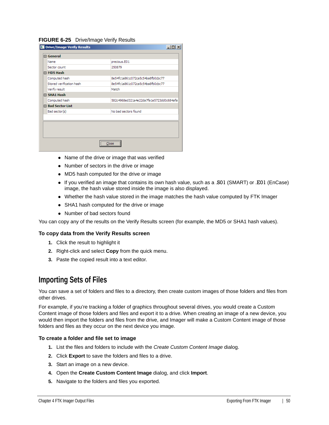#### **FIGURE 6-25** Drive/Image Verify Results

| <b>D</b> Drive/Image Verify Results | $ \Box$ $\times$                        |
|-------------------------------------|-----------------------------------------|
| 日 General                           |                                         |
| Name                                | precious.E01                            |
| Sector count                        | 250879                                  |
| F MD5 Hash                          |                                         |
| Computed hash                       | 8e54fc1a861c072ca5c54ba8fb0cbc77        |
| Stored verification hash            | 8e54fc1a861c072ca5c54ba8fb0cbc77        |
| Verify result                       | Match                                   |
| 日 SHA1 Hash                         |                                         |
| Computed hash                       | 582c4968ed321a4e22da7fa1e5723dd0c684afa |
| □ Bad Sector List                   |                                         |
| Bad sector(s)                       | No bad sectors found                    |
|                                     |                                         |
|                                     |                                         |
|                                     |                                         |
|                                     |                                         |
|                                     | <br>lose                                |

- Name of the drive or image that was verified
- Number of sectors in the drive or image
- MD5 hash computed for the drive or image
- If you verified an image that contains its own hash value, such as a .S01 (SMART) or .E01 (EnCase) image, the hash value stored inside the image is also displayed.
- Whether the hash value stored in the image matches the hash value computed by FTK Imager
- SHA1 hash computed for the drive or image
- Number of bad sectors found

You can copy any of the results on the Verify Results screen (for example, the MD5 or SHA1 hash values).

#### **To copy data from the Verify Results screen**

- **1.** Click the result to highlight it
- **2.** Right-click and select **Copy** from the quick menu.
- **3.** Paste the copied result into a text editor.

### <span id="page-49-0"></span>**Importing Sets of Files**

You can save a set of folders and files to a directory, then create custom images of those folders and files from other drives.

For example, if you're tracking a folder of graphics throughout several drives, you would create a Custom Content image of those folders and files and export it to a drive. When creating an image of a new device, you would then import the folders and files from the drive, and Imager will make a Custom Content image of those folders and files as they occur on the next device you image.

#### **To create a folder and file set to image**

- **1.** List the files and folders to include with the *Create Custom Content Image* dialog.
- **2.** Click **Export** to save the folders and files to a drive.
- **3.** Start an image on a new device.
- **4.** Open the **Create Custom Content Image** dialog, and click **Import**.
- **5.** Navigate to the folders and files you exported.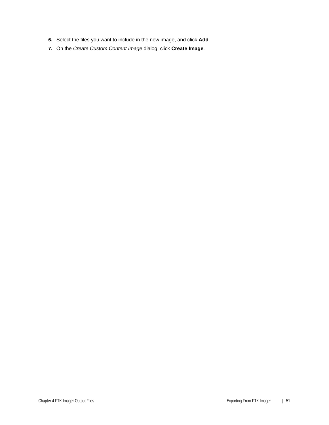- **6.** Select the files you want to include in the new image, and click **Add**.
- **7.** On the *Create Custom Content Image* dialog, click **Create Image**.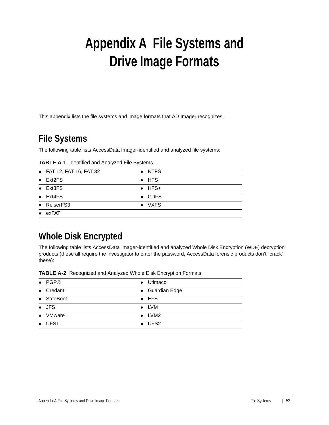# <span id="page-51-0"></span>**Appendix A File Systems and Drive Image Formats**

This appendix lists the file systems and image formats that AD Imager recognizes.

# <span id="page-51-1"></span>**File Systems**

The following table lists AccessData Imager-identified and analyzed file systems:

| <b>TABLE A-1</b> Identified and Analyzed File Systems |  |  |  |  |
|-------------------------------------------------------|--|--|--|--|
|-------------------------------------------------------|--|--|--|--|

| $\bullet$ FAT 12, FAT 16, FAT 32 | • NTFS         |
|----------------------------------|----------------|
| $\bullet$ Ext2FS                 | $\bullet$ HFS  |
| $\bullet$ Ext3FS                 | $\bullet$ HFS+ |
| $\bullet$ Ext4FS                 | $\bullet$ CDFS |
| • ReiserFS3                      | • VXFS         |
| exFAT                            |                |

# <span id="page-51-2"></span>**Whole Disk Encrypted**

The following table lists AccessData Imager-identified and analyzed Whole Disk Encryption (WDE) decryption products (these all require the investigator to enter the password, AccessData forensic products don't "crack" these):

| <b>TABLE A-2</b> Recognized and Analyzed Whole Disk Encryption Formats |  |
|------------------------------------------------------------------------|--|
|                                                                        |  |

| $\bullet$ PGP® | • Utimaco       |
|----------------|-----------------|
| • Credant      | • Guardian Edge |
| • SafeBoot     | $\bullet$ EFS   |
| $\bullet$ JFS  | $\bullet$ LVM   |
| • VMware       | $\bullet$ LVM2  |
| $\bullet$ UFS1 | $\bullet$ UFS2  |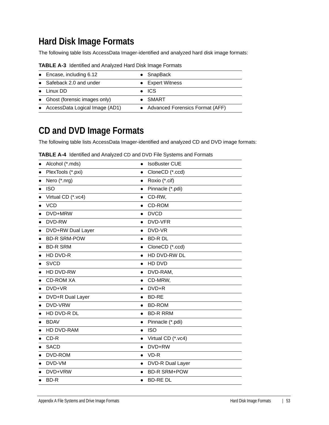# <span id="page-52-0"></span>**Hard Disk Image Formats**

The following table lists AccessData Imager-identified and analyzed hard disk image formats:

| $\bullet$ Encase, including 6.12 | $\bullet$ SnapBack                |
|----------------------------------|-----------------------------------|
| • Safeback 2.0 and under         | • Expert Witness                  |
| $\bullet$ Linux DD               | $\bullet$ ICS                     |
| • Ghost (forensic images only)   | SMART                             |
| • AccessData Logical Image (AD1) | • Advanced Forensics Format (AFF) |

**TABLE A-3** Identified and Analyzed Hard Disk Image Formats

# <span id="page-52-1"></span>**CD and DVD Image Formats**

The following table lists AccessData Imager-identified and analyzed CD and DVD image formats:

| Alcohol (*.mds)     | <b>IsoBuster CUE</b><br>$\bullet$ |
|---------------------|-----------------------------------|
| PlexTools (*.pxi)   | CloneCD (*.ccd)<br>$\bullet$      |
| Nero (*.nrg)        | Roxio (*.cif)<br>$\bullet$        |
| <b>ISO</b>          | Pinnacle (*.pdi)<br>$\bullet$     |
| Virtual CD (*.vc4)  | CD-RW,<br>$\bullet$               |
| <b>VCD</b>          | CD-ROM<br>$\bullet$               |
| DVD+MRW             | <b>DVCD</b><br>$\bullet$          |
| DVD-RW              | DVD-VFR<br>$\bullet$              |
| DVD+RW Dual Layer   | DVD-VR<br>$\bullet$               |
| <b>BD-R SRM-POW</b> | <b>BD-RDL</b><br>$\bullet$        |
| <b>BD-R SRM</b>     | CloneCD (*.ccd)<br>$\bullet$      |
| HD DVD-R            | HD DVD-RW DL<br>$\bullet$         |
| <b>SVCD</b>         | HD DVD<br>$\bullet$               |
| HD DVD-RW           | DVD-RAM,<br>$\bullet$             |
| <b>CD-ROM XA</b>    | CD-MRW,<br>$\bullet$              |
| DVD+VR              | DVD+R<br>$\bullet$                |
| DVD+R Dual Layer    | <b>BD-RE</b><br>$\bullet$         |
| DVD-VRW             | <b>BD-ROM</b><br>$\bullet$        |
| HD DVD-R DL         | <b>BD-R RRM</b><br>$\bullet$      |
| <b>BDAV</b>         | Pinnacle (*.pdi)<br>$\bullet$     |
| <b>HD DVD-RAM</b>   | <b>ISO</b><br>$\bullet$           |
| CD-R                | Virtual CD (*.vc4)<br>$\bullet$   |
| <b>SACD</b>         | DVD+RW<br>$\bullet$               |
| DVD-ROM             | VD-R<br>$\bullet$                 |
| DVD-VM              | DVD-R Dual Layer<br>$\bullet$     |
| DVD+VRW             | <b>BD-R SRM+POW</b><br>$\bullet$  |
| BD-R                | <b>BD-REDL</b><br>$\bullet$       |

**TABLE A-4** Identified and Analyzed CD and DVD File Systems and Formats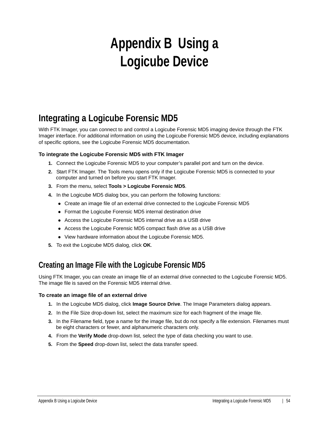# <span id="page-53-0"></span>**Appendix B Using a Logicube Device**

# <span id="page-53-1"></span>**Integrating a Logicube Forensic MD5**

With FTK Imager, you can connect to and control a Logicube Forensic MD5 imaging device through the FTK Imager interface. For additional information on using the Logicube Forensic MD5 device, including explanations of specific options, see the Logicube Forensic MD5 documentation.

### **To integrate the Logicube Forensic MD5 with FTK Imager**

- **1.** Connect the Logicube Forensic MD5 to your computer's parallel port and turn on the device.
- **2.** Start FTK Imager. The Tools menu opens only if the Logicube Forensic MD5 is connected to your computer and turned on before you start FTK Imager.
- **3.** From the menu, select **Tools > Logicube Forensic MD5**.
- **4.** In the Logicube MD5 dialog box, you can perform the following functions:
	- Create an image file of an external drive connected to the Logicube Forensic MD5
	- Format the Logicube Forensic MD5 internal destination drive
	- Access the Logicube Forensic MD5 internal drive as a USB drive
	- Access the Logicube Forensic MD5 compact flash drive as a USB drive
	- View hardware information about the Logicube Forensic MD5.
- **5.** To exit the Logicube MD5 dialog, click **OK**.

### <span id="page-53-2"></span>**Creating an Image File with the Logicube Forensic MD5**

Using FTK Imager, you can create an image file of an external drive connected to the Logicube Forensic MD5. The image file is saved on the Forensic MD5 internal drive.

### **To create an image file of an external drive**

- **1.** In the Logicube MD5 dialog, click **Image Source Drive**. The Image Parameters dialog appears.
- **2.** In the File Size drop-down list, select the maximum size for each fragment of the image file.
- **3.** In the Filename field, type a name for the image file, but do not specify a file extension. Filenames must be eight characters or fewer, and alphanumeric characters only.
- **4.** From the **Verify Mode** drop-down list, select the type of data checking you want to use.
- **5.** From the **Speed** drop-down list, select the data transfer speed.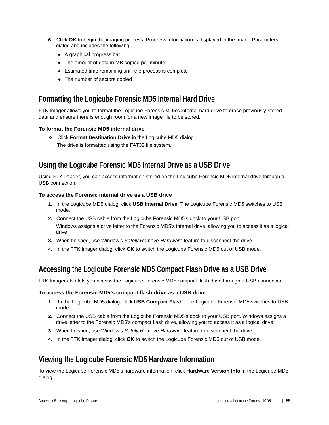- **6.** Click **OK** to begin the imaging process. Progress information is displayed in the Image Parameters dialog and includes the following:
	- A graphical progress bar
	- The amount of data in MB copied per minute
	- Estimated time remaining until the process is complete
	- The number of sectors copied

### <span id="page-54-0"></span>**Formatting the Logicube Forensic MD5 Internal Hard Drive**

FTK Imager allows you to format the Logicube Forensic MD5's internal hard drive to erase previously-stored data and ensure there is enough room for a new image file to be stored.

### **To format the Forensic MD5 internal drive**

Click **Format Destination Drive** in the Logicube MD5 dialog. The drive is formatted using the FAT32 file system.

### <span id="page-54-1"></span>**Using the Logicube Forensic MD5 Internal Drive as a USB Drive**

Using FTK Imager, you can access information stored on the Logicube Forensic MD5 internal drive through a USB connection.

### **To access the Forensic internal drive as a USB drive**

- **1.** In the Logicube MD5 dialog, click **USB Internal Drive**. The Logicube Forensic MD5 switches to USB mode.
- **2.** Connect the USB cable from the Logicube Forensic MD5's dock to your USB port. Windows assigns a drive letter to the Forensic MD5's internal drive, allowing you to access it as a logical drive.
- **3.** When finished, use Window's *Safely Remove Hardware* feature to disconnect the drive.
- **4.** In the FTK Imager dialog, click **OK** to switch the Logicube Forensic MD5 out of USB mode.

### <span id="page-54-2"></span>**Accessing the Logicube Forensic MD5 Compact Flash Drive as a USB Drive**

FTK Imager also lets you access the Logicube Forensic MD5 compact flash drive through a USB connection.

### **To access the Forensic MD5's compact flash drive as a USB drive**

- **1.** In the Logicube MD5 dialog, click **USB Compact Flash**. The Logicube Forensic MD5 switches to USB mode.
- **2.** Connect the USB cable from the Logicube Forensic MD5's dock to your USB port. Windows assigns a drive letter to the Forensic MD5's compact flash drive, allowing you to access it as a logical drive.
- **3.** When finished, use Window's *Safely Remove Hardware* feature to disconnect the drive.
- **4.** In the FTK Imager dialog, click **OK** to switch the Logicube Forensic MD5 out of USB mode.

### <span id="page-54-3"></span>**Viewing the Logicube Forensic MD5 Hardware Information**

To view the Logicube Forensic MD5's hardware information, click **Hardware Version Info** in the Logicube MD5 dialog.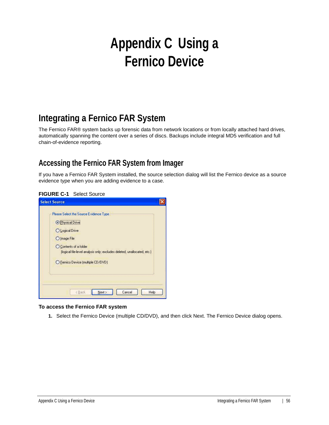# <span id="page-55-0"></span>**Appendix C Using a Fernico Device**

# <span id="page-55-1"></span>**Integrating a Fernico FAR System**

The Fernico FAR® system backs up forensic data from network locations or from locally attached hard drives, automatically spanning the content over a series of discs. Backups include integral MD5 verification and full chain-of-evidence reporting.

### <span id="page-55-2"></span>**Accessing the Fernico FAR System from Imager**

If you have a Fernico FAR System installed, the source selection dialog will list the Fernico device as a source evidence type when you are adding evidence to a case.

| <b>Select Source</b>                                                                              |  |
|---------------------------------------------------------------------------------------------------|--|
| Please Select the Source Evidence Type                                                            |  |
| <b>O</b> Physical Drive                                                                           |  |
| O Logical Drive                                                                                   |  |
| O Image File                                                                                      |  |
| O Contents of a folder<br>(logical file-level analysis only; excludes deleted, unallocated, etc.) |  |
| O Fernico Device (multiple CD/DVD)                                                                |  |
|                                                                                                   |  |
|                                                                                                   |  |
| Next ><br>Cancel<br>Help<br><back< td=""><td></td></back<>                                        |  |

### **To access the Fernico FAR system**

**1.** Select the Fernico Device (multiple CD/DVD), and then click Next. The Fernico Device dialog opens.